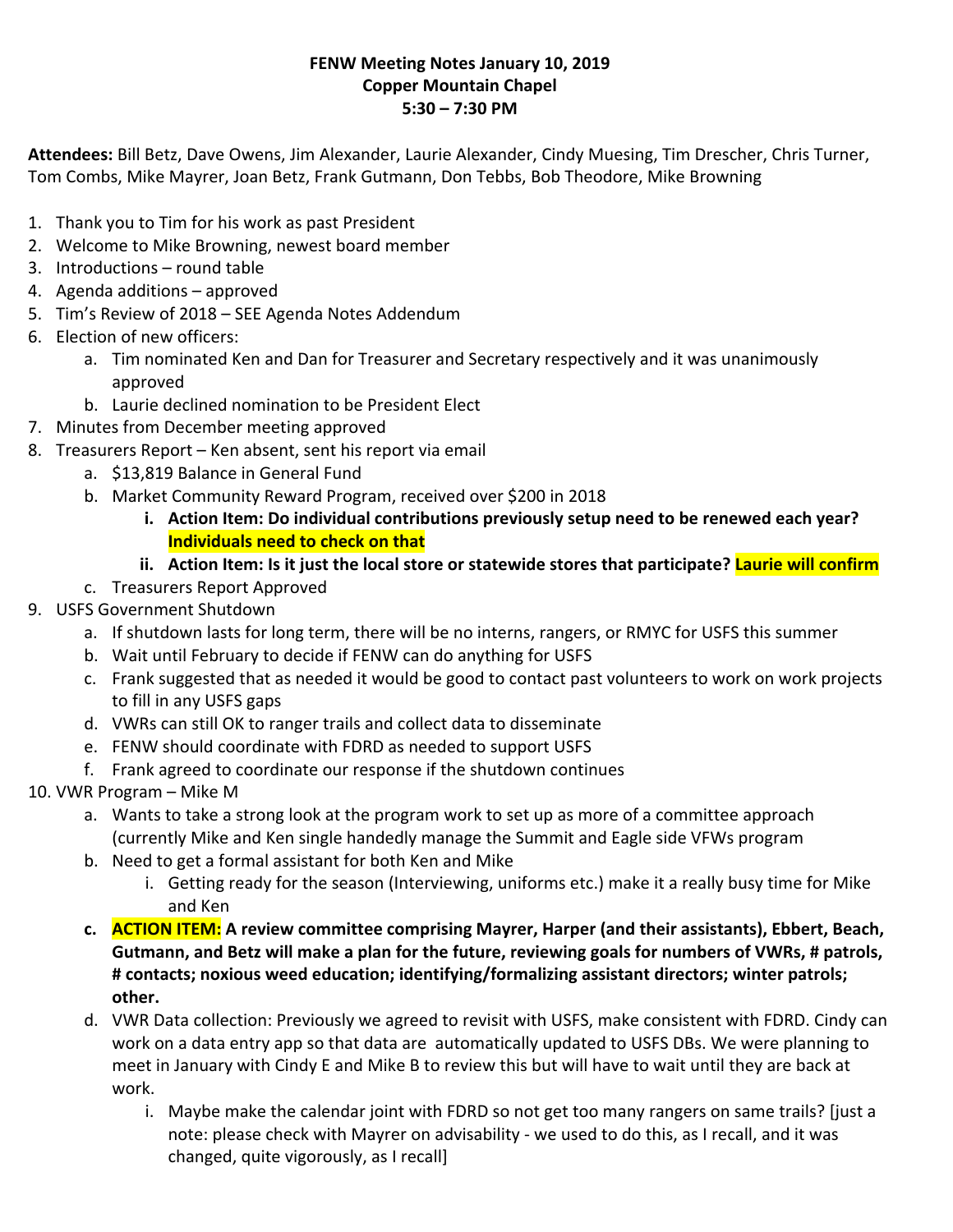### **FENW Meeting Notes January 10, 2019 Copper Mountain Chapel 5:30 – 7:30 PM**

**Attendees:** Bill Betz, Dave Owens, Jim Alexander, Laurie Alexander, Cindy Muesing, Tim Drescher, Chris Turner, Tom Combs, Mike Mayrer, Joan Betz, Frank Gutmann, Don Tebbs, Bob Theodore, Mike Browning

- 1. Thank you to Tim for his work as past President
- 2. Welcome to Mike Browning, newest board member
- 3. Introductions round table
- 4. Agenda additions approved
- 5. Tim's Review of 2018 SEE Agenda Notes Addendum
- 6. Election of new officers:
	- a. Tim nominated Ken and Dan for Treasurer and Secretary respectively and it was unanimously approved
	- b. Laurie declined nomination to be President Elect
- 7. Minutes from December meeting approved
- 8. Treasurers Report Ken absent, sent his report via email
	- a. \$13,819 Balance in General Fund
	- b. Market Community Reward Program, received over \$200 in 2018
		- **i. Action Item: Do individual contributions previously setup need to be renewed each year? Individuals need to check on that**
		- **ii. Action Item: Is it just the local store or statewide stores that participate? Laurie will confirm**
	- c. Treasurers Report Approved
- 9. USFS Government Shutdown
	- a. If shutdown lasts for long term, there will be no interns, rangers, or RMYC for USFS this summer
	- b. Wait until February to decide if FENW can do anything for USFS
	- c. Frank suggested that as needed it would be good to contact past volunteers to work on work projects to fill in any USFS gaps
	- d. VWRs can still OK to ranger trails and collect data to disseminate
	- e. FENW should coordinate with FDRD as needed to support USFS
	- f. Frank agreed to coordinate our response if the shutdown continues
- 10. VWR Program Mike M
	- a. Wants to take a strong look at the program work to set up as more of a committee approach (currently Mike and Ken single handedly manage the Summit and Eagle side VFWs program
	- b. Need to get a formal assistant for both Ken and Mike
		- i. Getting ready for the season (Interviewing, uniforms etc.) make it a really busy time for Mike and Ken
	- **c. ACTION ITEM: A review committee comprising Mayrer, Harper (and their assistants), Ebbert, Beach, Gutmann, and Betz will make a plan for the future, reviewing goals for numbers of VWRs, # patrols, # contacts; noxious weed education; identifying/formalizing assistant directors; winter patrols; other.**
	- d. VWR Data collection: Previously we agreed to revisit with USFS, make consistent with FDRD. Cindy can work on a data entry app so that data are automatically updated to USFS DBs. We were planning to meet in January with Cindy E and Mike B to review this but will have to wait until they are back at work.
		- i. Maybe make the calendar joint with FDRD so not get too many rangers on same trails? [just a note: please check with Mayrer on advisability ‐ we used to do this, as I recall, and it was changed, quite vigorously, as I recall]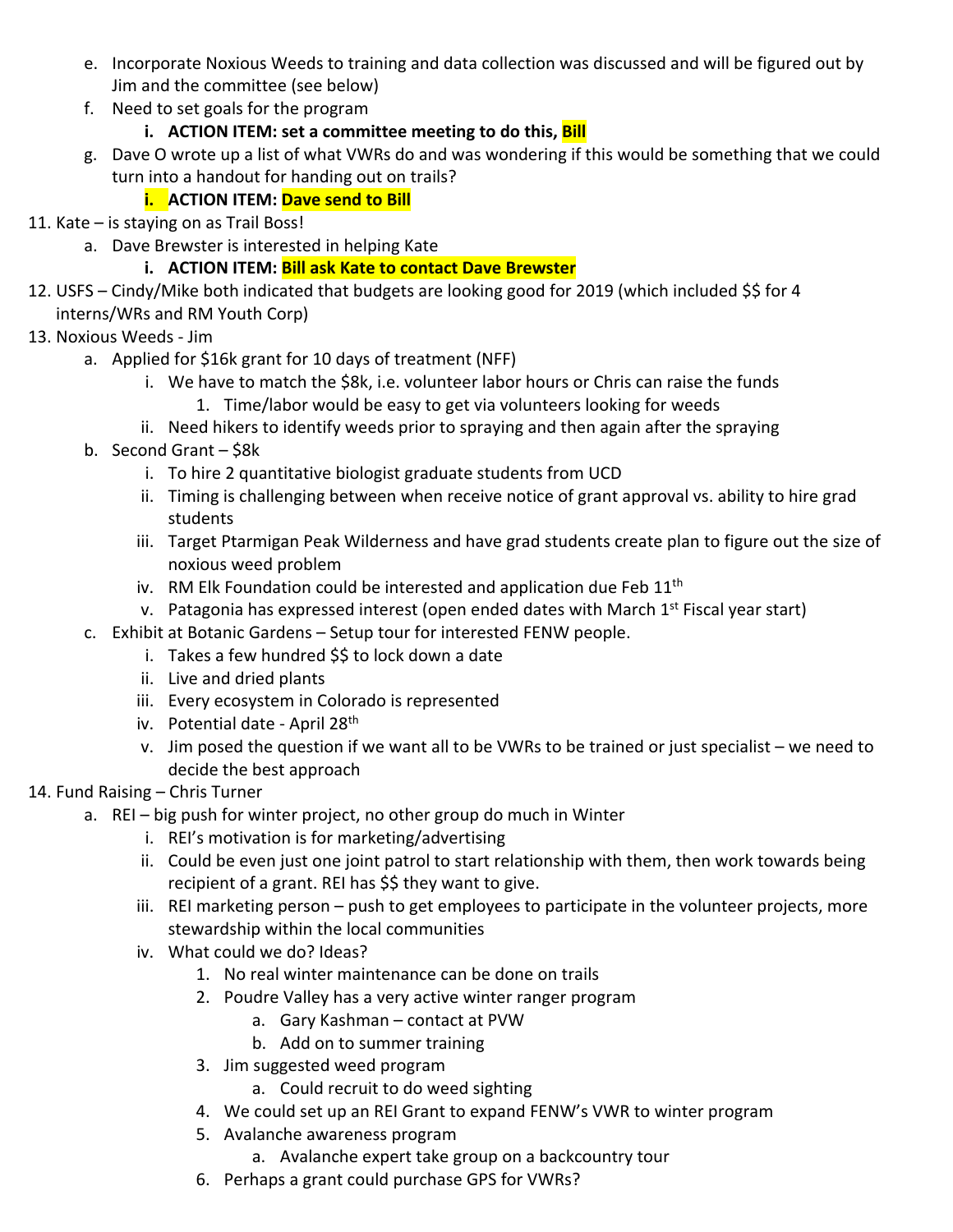- e. Incorporate Noxious Weeds to training and data collection was discussed and will be figured out by Jim and the committee (see below)
- f. Need to set goals for the program
	- **i. ACTION ITEM: set a committee meeting to do this, Bill**
- g. Dave O wrote up a list of what VWRs do and was wondering if this would be something that we could turn into a handout for handing out on trails?

## **i. ACTION ITEM: Dave send to Bill**

- 11. Kate is staying on as Trail Boss!
	- a. Dave Brewster is interested in helping Kate

## **i. ACTION ITEM: Bill ask Kate to contact Dave Brewster**

- 12. USFS Cindy/Mike both indicated that budgets are looking good for 2019 (which included \$\$ for 4 interns/WRs and RM Youth Corp)
- 13. Noxious Weeds ‐ Jim
	- a. Applied for \$16k grant for 10 days of treatment (NFF)
		- i. We have to match the \$8k, i.e. volunteer labor hours or Chris can raise the funds 1. Time/labor would be easy to get via volunteers looking for weeds
		- ii. Need hikers to identify weeds prior to spraying and then again after the spraying
	- b. Second Grant \$8k
		- i. To hire 2 quantitative biologist graduate students from UCD
		- ii. Timing is challenging between when receive notice of grant approval vs. ability to hire grad students
		- iii. Target Ptarmigan Peak Wilderness and have grad students create plan to figure out the size of noxious weed problem
		- iv. RM Elk Foundation could be interested and application due Feb  $11<sup>th</sup>$
		- v. Patagonia has expressed interest (open ended dates with March  $1<sup>st</sup>$  Fiscal year start)
	- c. Exhibit at Botanic Gardens Setup tour for interested FENW people.
		- i. Takes a few hundred \$\$ to lock down a date
		- ii. Live and dried plants
		- iii. Every ecosystem in Colorado is represented
		- iv. Potential date April 28<sup>th</sup>
		- v. Jim posed the question if we want all to be VWRs to be trained or just specialist we need to decide the best approach

# 14. Fund Raising – Chris Turner

- a. REI big push for winter project, no other group do much in Winter
	- i. REI's motivation is for marketing/advertising
	- ii. Could be even just one joint patrol to start relationship with them, then work towards being recipient of a grant. REI has \$\$ they want to give.
	- iii. REI marketing person push to get employees to participate in the volunteer projects, more stewardship within the local communities
	- iv. What could we do? Ideas?
		- 1. No real winter maintenance can be done on trails
		- 2. Poudre Valley has a very active winter ranger program
			- a. Gary Kashman contact at PVW
			- b. Add on to summer training
		- 3. Jim suggested weed program
			- a. Could recruit to do weed sighting
		- 4. We could set up an REI Grant to expand FENW's VWR to winter program
		- 5. Avalanche awareness program
			- a. Avalanche expert take group on a backcountry tour
		- 6. Perhaps a grant could purchase GPS for VWRs?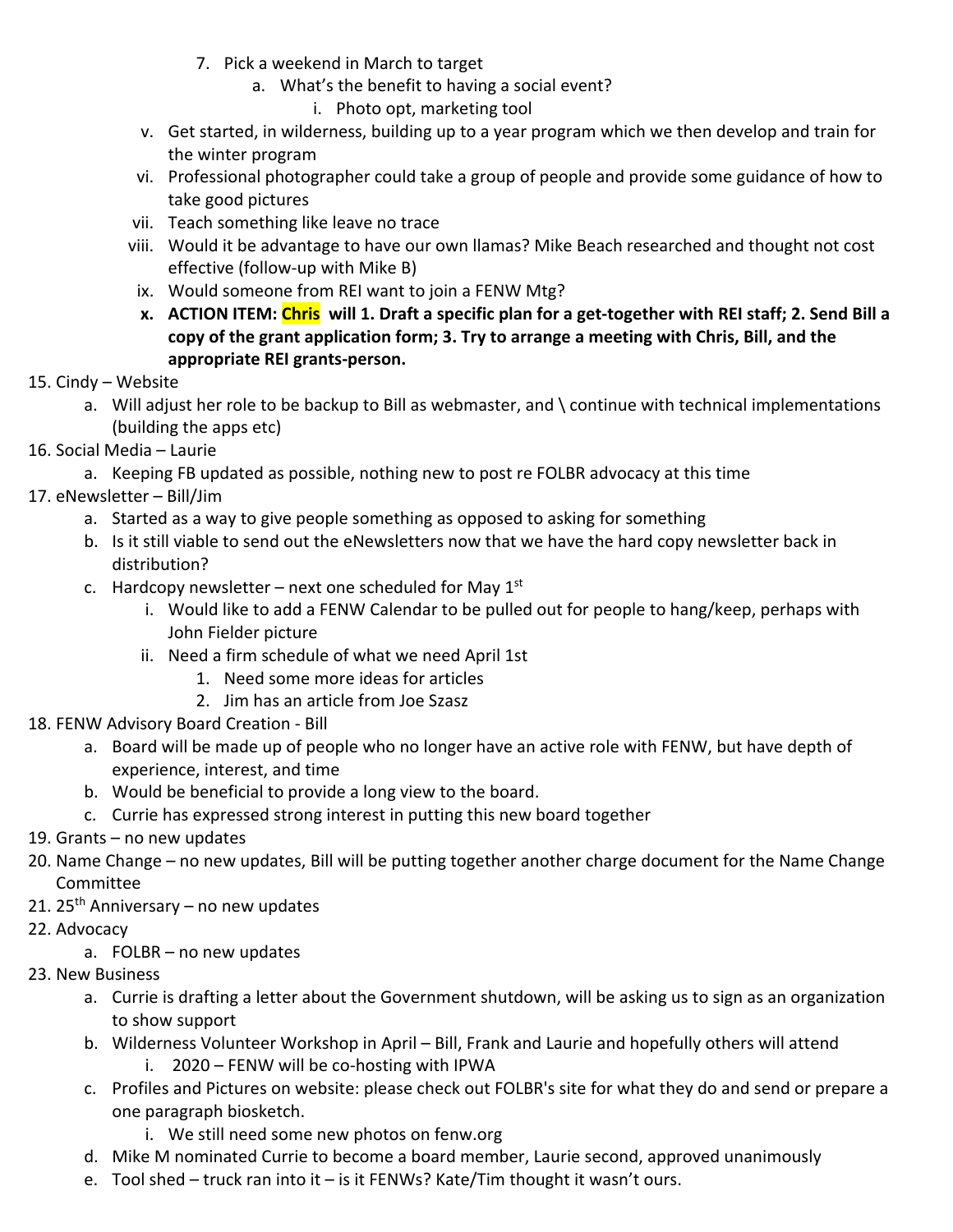- 7. Pick a weekend in March to target
	- a. What's the benefit to having a social event?
		- i. Photo opt, marketing tool
- v. Get started, in wilderness, building up to a year program which we then develop and train for the winter program
- vi. Professional photographer could take a group of people and provide some guidance of how to take good pictures
- vii. Teach something like leave no trace
- viii. Would it be advantage to have our own llamas? Mike Beach researched and thought not cost effective (follow‐up with Mike B)
- ix. Would someone from REI want to join a FENW Mtg?
- **x. ACTION ITEM: Chris will 1. Draft a specific plan for a get‐together with REI staff; 2. Send Bill a copy of the grant application form; 3. Try to arrange a meeting with Chris, Bill, and the appropriate REI grants‐person.**
- 15. Cindy Website
	- a. Will adjust her role to be backup to Bill as webmaster, and \ continue with technical implementations (building the apps etc)
- 16. Social Media Laurie
	- a. Keeping FB updated as possible, nothing new to post re FOLBR advocacy at this time
- 17. eNewsletter Bill/Jim
	- a. Started as a way to give people something as opposed to asking for something
	- b. Is it still viable to send out the eNewsletters now that we have the hard copy newsletter back in distribution?
	- c. Hardcopy newsletter next one scheduled for May  $1<sup>st</sup>$ 
		- i. Would like to add a FENW Calendar to be pulled out for people to hang/keep, perhaps with John Fielder picture
		- ii. Need a firm schedule of what we need April 1st
			- 1. Need some more ideas for articles
			- 2. Jim has an article from Joe Szasz
- 18. FENW Advisory Board Creation ‐ Bill
	- a. Board will be made up of people who no longer have an active role with FENW, but have depth of experience, interest, and time
	- b. Would be beneficial to provide a long view to the board.
	- c. Currie has expressed strong interest in putting this new board together
- 19. Grants no new updates
- 20. Name Change no new updates, Bill will be putting together another charge document for the Name Change Committee
- 21. 25<sup>th</sup> Anniversary no new updates
- 22. Advocacy
	- a. FOLBR no new updates
- 23. New Business
	- a. Currie is drafting a letter about the Government shutdown, will be asking us to sign as an organization to show support
	- b. Wilderness Volunteer Workshop in April Bill, Frank and Laurie and hopefully others will attend
		- i. 2020 FENW will be co-hosting with IPWA
	- c. Profiles and Pictures on website: please check out FOLBR's site for what they do and send or prepare a one paragraph biosketch.
		- i. We still need some new photos on fenw.org
	- d. Mike M nominated Currie to become a board member, Laurie second, approved unanimously
	- e. Tool shed truck ran into it is it FENWs? Kate/Tim thought it wasn't ours.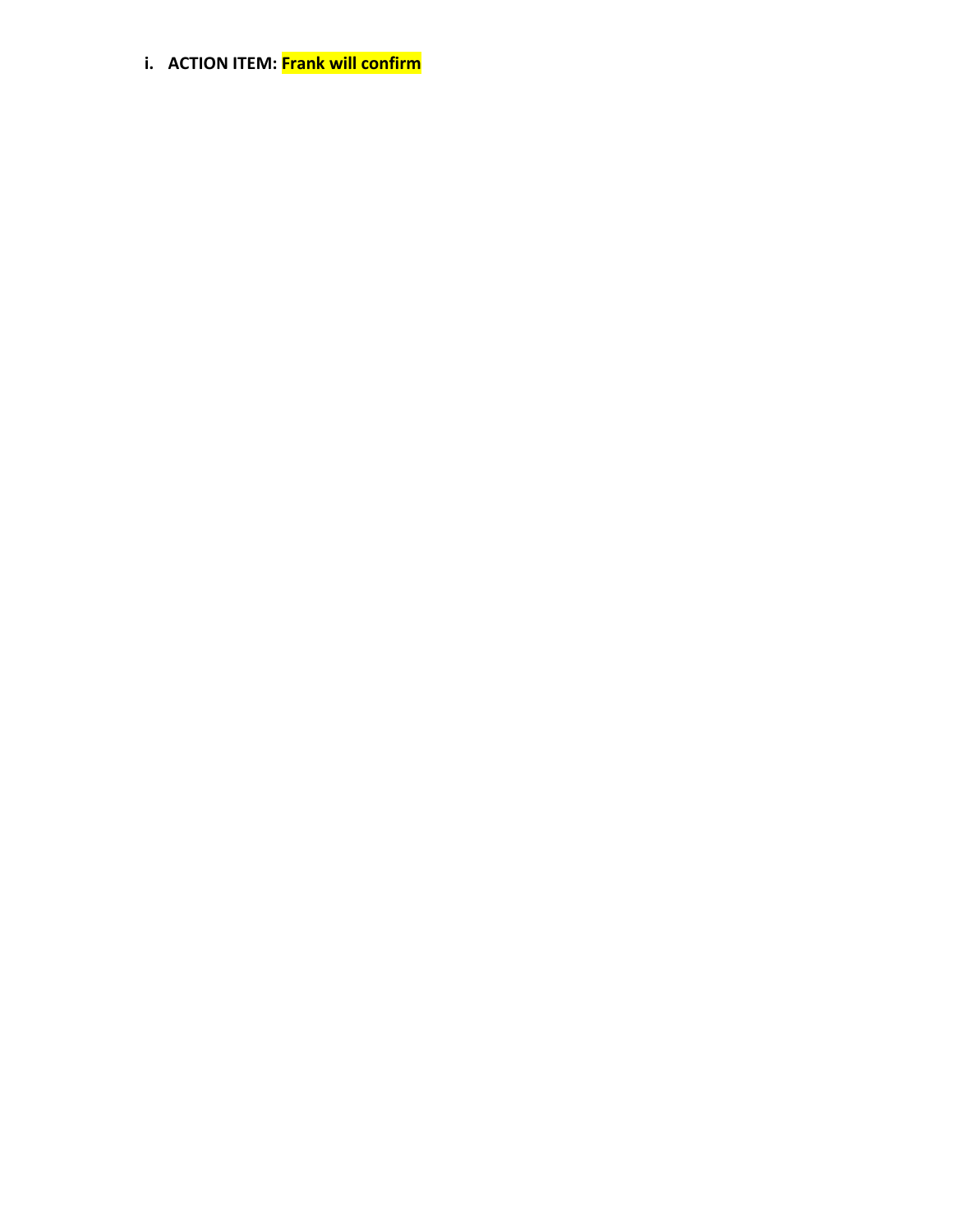**i. ACTION ITEM: Frank will confirm**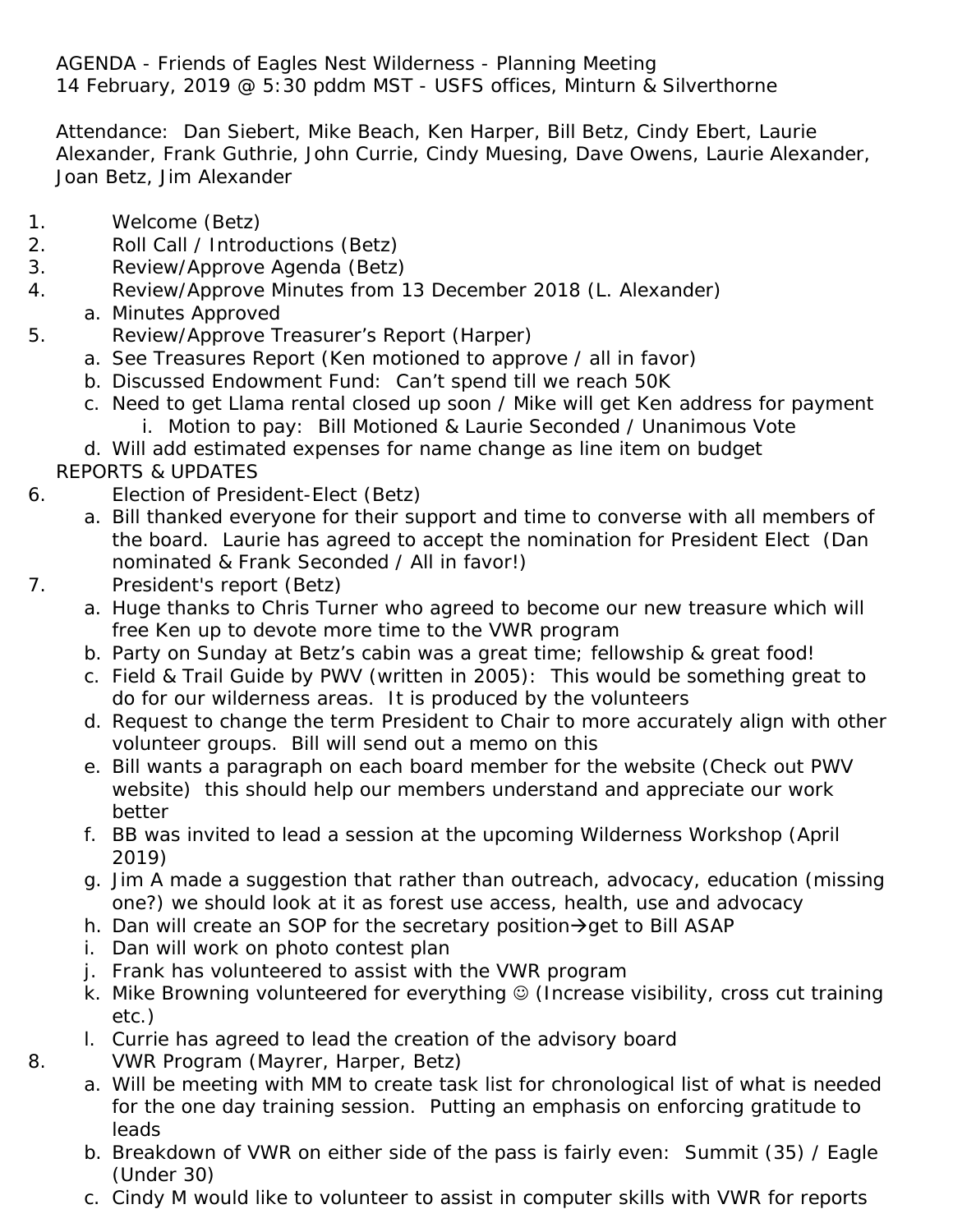AGENDA - Friends of Eagles Nest Wilderness - Planning Meeting 14 February, 2019 @ 5:30 pddm MST - USFS offices, Minturn & Silverthorne

Attendance: Dan Siebert, Mike Beach, Ken Harper, Bill Betz, Cindy Ebert, Laurie Alexander, Frank Guthrie, John Currie, Cindy Muesing, Dave Owens, Laurie Alexander, Joan Betz, Jim Alexander

- 1. Welcome (Betz)
- 2. Roll Call / Introductions (Betz)
- 3. Review/Approve Agenda (Betz)
- 4. Review/Approve Minutes from 13 December 2018 (L. Alexander)
	- a. Minutes Approved
- 5. Review/Approve Treasurer's Report (Harper)
	- a. See Treasures Report (Ken motioned to approve / all in favor)
	- b. Discussed Endowment Fund: Can't spend till we reach 50K
	- c. Need to get Llama rental closed up soon / Mike will get Ken address for payment i. Motion to pay: Bill Motioned & Laurie Seconded / Unanimous Vote

d. Will add estimated expenses for name change as line item on budget REPORTS & UPDATES

- 6. Election of President-Elect (Betz)
	- a. Bill thanked everyone for their support and time to converse with all members of the board. Laurie has agreed to accept the nomination for President Elect (Dan nominated & Frank Seconded / All in favor!)
- 
- 7. President's report (Betz)
	- a. Huge thanks to Chris Turner who agreed to become our new treasure which will free Ken up to devote more time to the VWR program
	- b. Party on Sunday at Betz's cabin was a great time; fellowship & great food!
	- c. Field & Trail Guide by PWV (written in 2005): This would be something great to do for our wilderness areas. It is produced by the volunteers
	- d. Request to change the term President to Chair to more accurately align with other volunteer groups. Bill will send out a memo on this
	- e. Bill wants a paragraph on each board member for the website (Check out PWV website) this should help our members understand and appreciate our work better
	- f. BB was invited to lead a session at the upcoming Wilderness Workshop (April 2019)
	- g. Jim A made a suggestion that rather than outreach, advocacy, education (missing one?) we should look at it as forest use access, health, use and advocacy
	- h. Dan will create an SOP for the secretary position $\rightarrow$  get to Bill ASAP
	- i. Dan will work on photo contest plan
	- j. Frank has volunteered to assist with the VWR program
	- k. Mike Browning volunteered for everything  $\odot$  (Increase visibility, cross cut training etc.)
	- l. Currie has agreed to lead the creation of the advisory board
- 8. VWR Program (Mayrer, Harper, Betz)
	- a. Will be meeting with MM to create task list for chronological list of what is needed for the one day training session. Putting an emphasis on enforcing gratitude to leads
	- b. Breakdown of VWR on either side of the pass is fairly even: Summit (35) / Eagle (Under 30)
	- c. Cindy M would like to volunteer to assist in computer skills with VWR for reports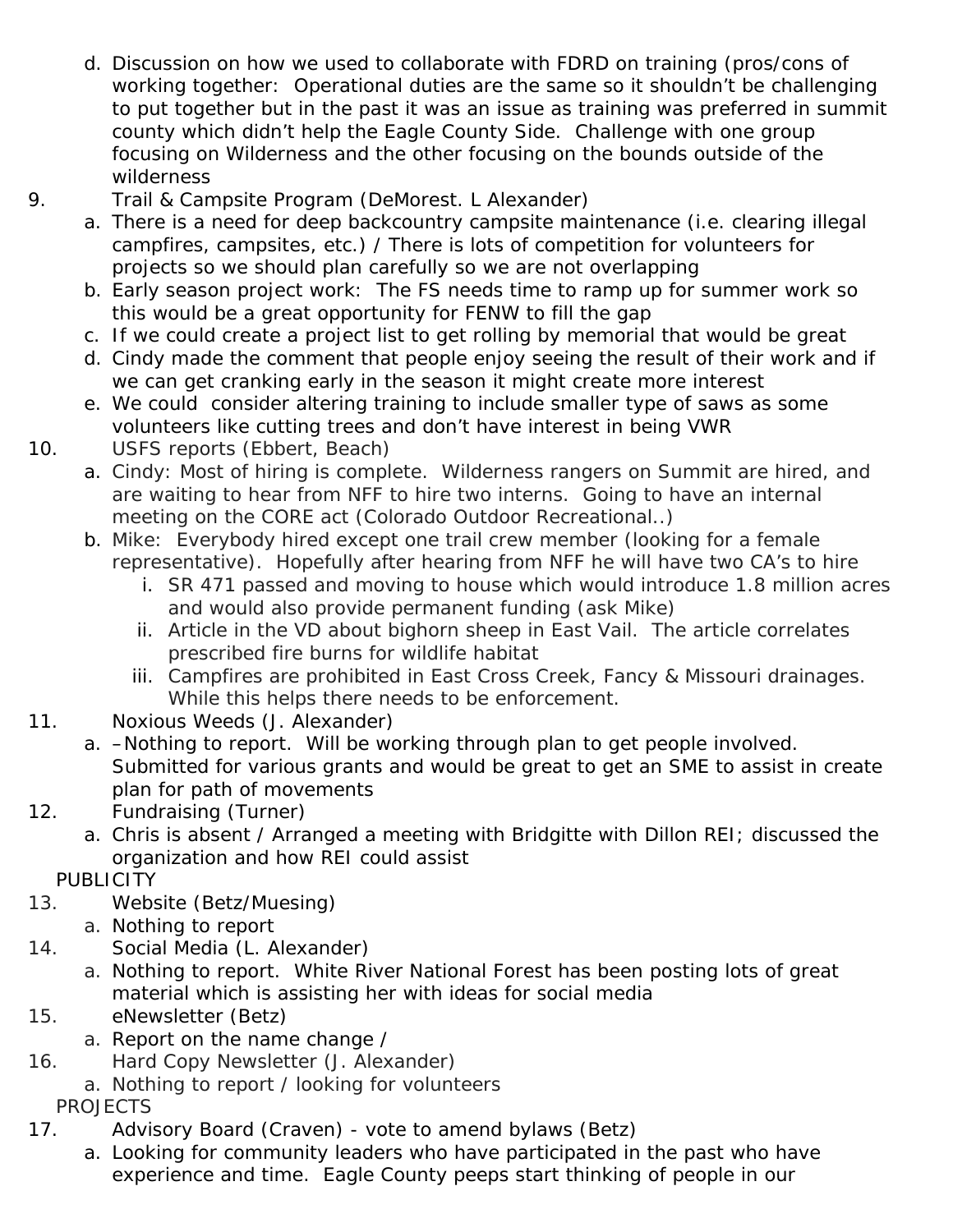- d. Discussion on how we used to collaborate with FDRD on training (pros/cons of working together: Operational duties are the same so it shouldn't be challenging to put together but in the past it was an issue as training was preferred in summit county which didn't help the Eagle County Side. Challenge with one group focusing on Wilderness and the other focusing on the bounds outside of the wilderness
- 9. Trail & Campsite Program (DeMorest. L Alexander)
	- a. There is a need for deep backcountry campsite maintenance (i.e. clearing illegal campfires, campsites, etc.) / There is lots of competition for volunteers for projects so we should plan carefully so we are not overlapping
	- b. Early season project work: The FS needs time to ramp up for summer work so this would be a great opportunity for FENW to fill the gap
	- c. If we could create a project list to get rolling by memorial that would be great
	- d. Cindy made the comment that people enjoy seeing the result of their work and if we can get cranking early in the season it might create more interest
	- e. We could consider altering training to include smaller type of saws as some volunteers like cutting trees and don't have interest in being VWR
- 10. USFS reports (Ebbert, Beach)
	- a. Cindy: Most of hiring is complete. Wilderness rangers on Summit are hired, and are waiting to hear from NFF to hire two interns. Going to have an internal meeting on the CORE act (Colorado Outdoor Recreational..)
	- b. Mike: Everybody hired except one trail crew member (looking for a female representative). Hopefully after hearing from NFF he will have two CA's to hire
		- i. SR 471 passed and moving to house which would introduce 1.8 million acres and would also provide permanent funding (ask Mike)
		- ii. Article in the VD about bighorn sheep in East Vail. The article correlates prescribed fire burns for wildlife habitat
		- iii. Campfires are prohibited in East Cross Creek, Fancy & Missouri drainages. While this helps there needs to be enforcement.
- 11. Noxious Weeds (J. Alexander)
	- a. –Nothing to report. Will be working through plan to get people involved. Submitted for various grants and would be great to get an SME to assist in create plan for path of movements
- 12. Fundraising (Turner)
	- a. Chris is absent / Arranged a meeting with Bridgitte with Dillon REI; discussed the organization and how REI could assist
	- **PUBLICITY**
- 13. Website (Betz/Muesing)
	- a. Nothing to report
- 14. Social Media (L. Alexander)
	- a. Nothing to report. White River National Forest has been posting lots of great material which is assisting her with ideas for social media
- 15. eNewsletter (Betz)
	- a. Report on the name change /
- 16. Hard Copy Newsletter (J. Alexander)
	- a. Nothing to report / looking for volunteers

PROJECTS

- 17. Advisory Board (Craven) vote to amend bylaws (Betz)
	- a. Looking for community leaders who have participated in the past who have experience and time. Eagle County peeps start thinking of people in our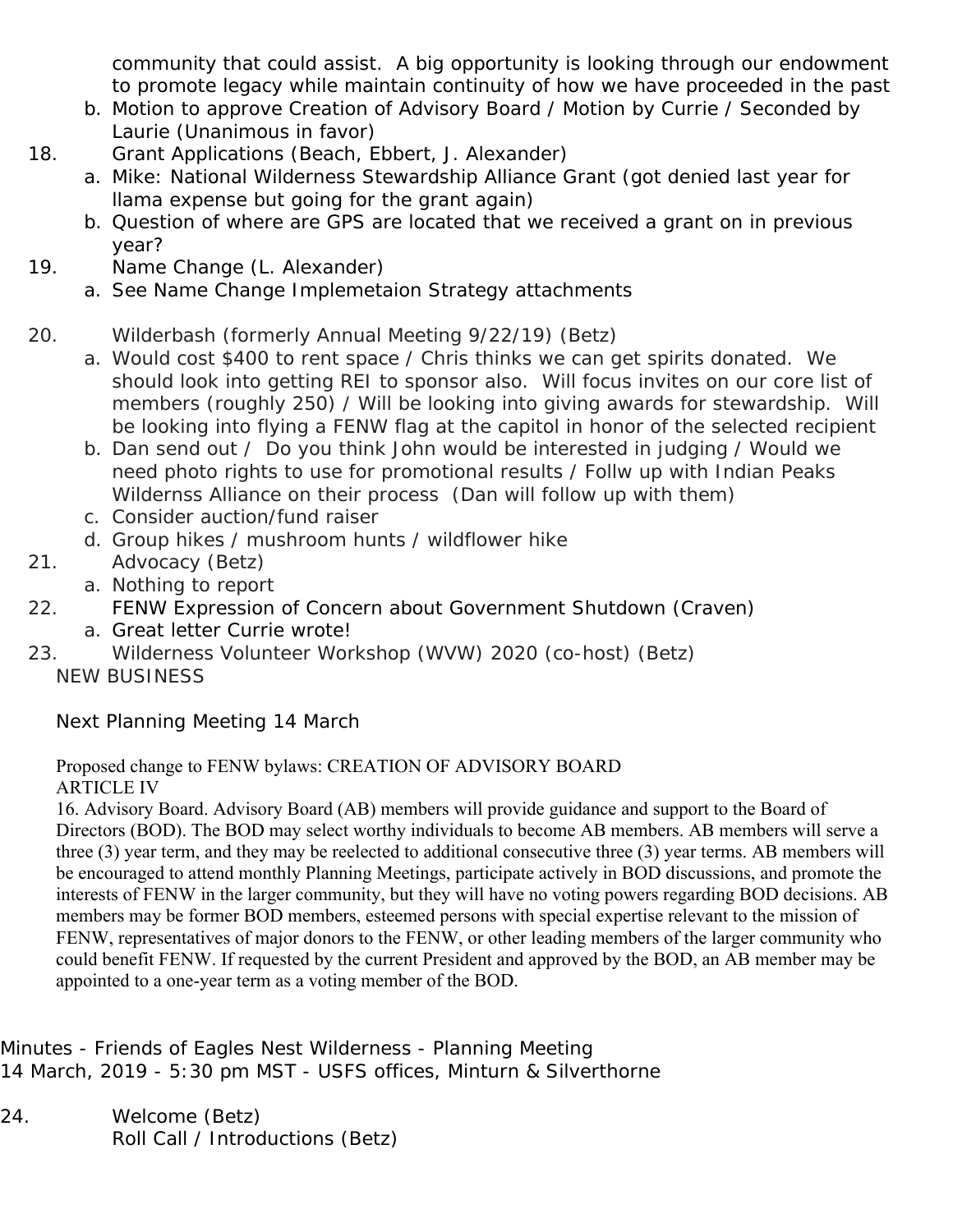community that could assist. A big opportunity is looking through our endowment to promote legacy while maintain continuity of how we have proceeded in the past

- b. Motion to approve Creation of Advisory Board / Motion by Currie / Seconded by Laurie (Unanimous in favor)
- 18. Grant Applications (Beach, Ebbert, J. Alexander)
	- a. Mike: National Wilderness Stewardship Alliance Grant (got denied last year for llama expense but going for the grant again)
	- b. Question of where are GPS are located that we received a grant on in previous year?
- 19. Name Change (L. Alexander)
	- a. See Name Change Implemetaion Strategy attachments

# 20. Wilderbash (formerly Annual Meeting 9/22/19) (Betz)

- a. Would cost \$400 to rent space / Chris thinks we can get spirits donated. We should look into getting REI to sponsor also. Will focus invites on our core list of members (roughly 250) / Will be looking into giving awards for stewardship. Will be looking into flying a FENW flag at the capitol in honor of the selected recipient
- b. Dan send out / Do you think John would be interested in judging / Would we need photo rights to use for promotional results / Follw up with Indian Peaks Wildernss Alliance on their process (Dan will follow up with them)
- c. Consider auction/fund raiser
- d. Group hikes / mushroom hunts / wildflower hike
- 21. Advocacy (Betz)
	- a. Nothing to report
- 22. FENW Expression of Concern about Government Shutdown (Craven)
	- a. Great letter Currie wrote!
- 23. Wilderness Volunteer Workshop (WVW) 2020 (co-host) (Betz) NEW BUSINESS

Next Planning Meeting 14 March

### Proposed change to FENW bylaws: CREATION OF ADVISORY BOARD ARTICLE IV

16. Advisory Board. Advisory Board (AB) members will provide guidance and support to the Board of Directors (BOD). The BOD may select worthy individuals to become AB members. AB members will serve a three (3) year term, and they may be reelected to additional consecutive three (3) year terms. AB members will be encouraged to attend monthly Planning Meetings, participate actively in BOD discussions, and promote the interests of FENW in the larger community, but they will have no voting powers regarding BOD decisions. AB members may be former BOD members, esteemed persons with special expertise relevant to the mission of FENW, representatives of major donors to the FENW, or other leading members of the larger community who could benefit FENW. If requested by the current President and approved by the BOD, an AB member may be appointed to a one-year term as a voting member of the BOD.

Minutes - Friends of Eagles Nest Wilderness - Planning Meeting 14 March, 2019 - 5:30 pm MST - USFS offices, Minturn & Silverthorne

24. Welcome (Betz) Roll Call / Introductions (Betz)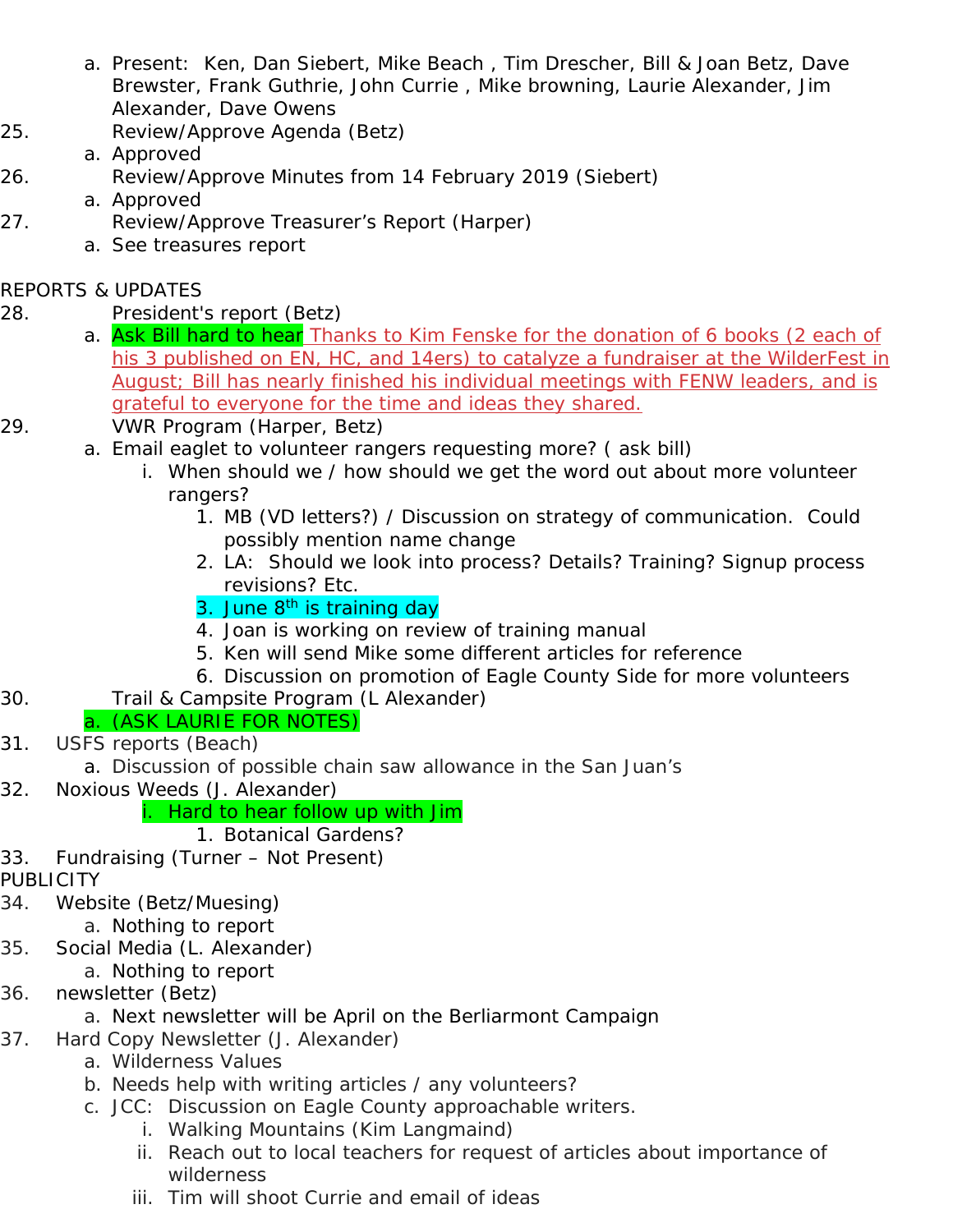- a. Present: Ken, Dan Siebert, Mike Beach , Tim Drescher, Bill & Joan Betz, Dave Brewster, Frank Guthrie, John Currie , Mike browning, Laurie Alexander, Jim Alexander, Dave Owens
- 25. Review/Approve Agenda (Betz)
- a. Approved 26. Review/Approve Minutes from 14 February 2019 (Siebert)
- a. Approved
- 27. Review/Approve Treasurer's Report (Harper)
	- a. See treasures report

## REPORTS & UPDATES

- 28. President's report (Betz)
	- a. Ask Bill hard to hear Thanks to Kim Fenske for the donation of 6 books (2 each of his 3 published on EN, HC, and 14ers) to catalyze a fundraiser at the WilderFest in August; Bill has nearly finished his individual meetings with FENW leaders, and is grateful to everyone for the time and ideas they shared.
- 29. VWR Program (Harper, Betz)
	- a. Email eaglet to volunteer rangers requesting more? ( ask bill)
		- i. When should we / how should we get the word out about more volunteer rangers?
			- 1. MB (VD letters?) / Discussion on strategy of communication. Could possibly mention name change
			- 2. LA: Should we look into process? Details? Training? Signup process revisions? Etc.
			- 3. June 8<sup>th</sup> is training day
			- 4. Joan is working on review of training manual
			- 5. Ken will send Mike some different articles for reference
			- 6. Discussion on promotion of Eagle County Side for more volunteers
- 30. Trail & Campsite Program (L Alexander)

# a. (ASK LAURIE FOR NOTES)

- 31. USFS reports (Beach)
	- a. Discussion of possible chain saw allowance in the San Juan's
- 32. Noxious Weeds (J. Alexander)

# i. Hard to hear follow up with Jim

# 1. Botanical Gardens?

- 33. Fundraising (Turner Not Present)
- PUBLICITY
- 34. Website (Betz/Muesing) a. Nothing to report
- 35. Social Media (L. Alexander)
	- a. Nothing to report
- 36. newsletter (Betz)
	- a. Next newsletter will be April on the Berliarmont Campaign
- 37. Hard Copy Newsletter (J. Alexander)
	- a. Wilderness Values
	- b. Needs help with writing articles / any volunteers?
	- c. JCC: Discussion on Eagle County approachable writers.
		- i. Walking Mountains (Kim Langmaind)
		- ii. Reach out to local teachers for request of articles about importance of wilderness
		- iii. Tim will shoot Currie and email of ideas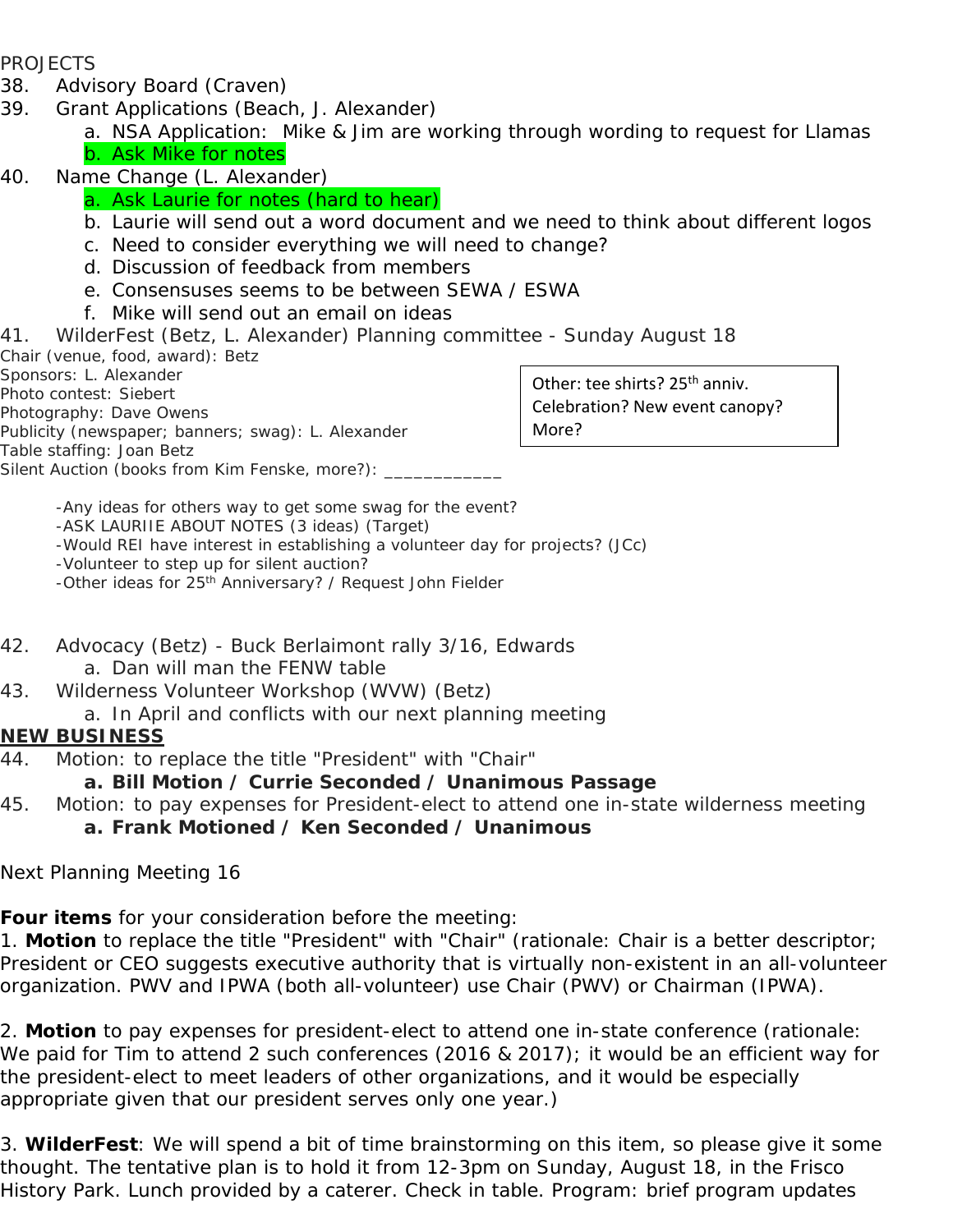#### PROJECTS

- 38. Advisory Board (Craven)
- 39. Grant Applications (Beach, J. Alexander)
	- a. NSA Application: Mike & Jim are working through wording to request for Llamas b. Ask Mike for notes
- 40. Name Change (L. Alexander)

## a. Ask Laurie for notes (hard to hear)

- b. Laurie will send out a word document and we need to think about different logos
- c. Need to consider everything we will need to change?
- d. Discussion of feedback from members
- e. Consensuses seems to be between SEWA / ESWA
- f. Mike will send out an email on ideas
- 41. WilderFest (Betz, L. Alexander) Planning committee Sunday August 18

Chair (venue, food, award): Betz Sponsors: L. Alexander

Photo contest: Siebert

Photography: Dave Owens

- Publicity (newspaper; banners; swag): L. Alexander
- Table staffing: Joan Betz

Silent Auction (books from Kim Fenske, more?): \_\_\_\_\_

Other: tee shirts? 25<sup>th</sup> anniv. Celebration? New event canopy? More?

 -Any ideas for others way to get some swag for the event? -ASK LAURIIE ABOUT NOTES (3 ideas) (Target) -Would REI have interest in establishing a volunteer day for projects? (JCc) -Volunteer to step up for silent auction? -Other ideas for 25<sup>th</sup> Anniversary? / Request John Fielder

- 42. Advocacy (Betz) Buck Berlaimont rally 3/16, Edwards a. Dan will man the FENW table
- 43. Wilderness Volunteer Workshop (WVW) (Betz)
- a. In April and conflicts with our next planning meeting

## **NEW BUSINESS**

44. Motion: to replace the title "President" with "Chair"

## **a. Bill Motion / Currie Seconded / Unanimous Passage**

45. Motion: to pay expenses for President-elect to attend one in-state wilderness meeting **a. Frank Motioned / Ken Seconded / Unanimous** 

Next Planning Meeting 16

**Four items** for your consideration before the meeting:

1. **Motion** to replace the title "President" with "Chair" (rationale: Chair is a better descriptor; President or CEO suggests executive authority that is virtually non-existent in an all-volunteer organization. PWV and IPWA (both all-volunteer) use Chair (PWV) or Chairman (IPWA).

2. **Motion** to pay expenses for president-elect to attend one in-state conference (rationale: We paid for Tim to attend 2 such conferences (2016 & 2017); it would be an efficient way for the president-elect to meet leaders of other organizations, and it would be especially appropriate given that our president serves only one year.)

3. **WilderFest**: We will spend a bit of time *brainstorming* on this item, so please give it some thought. The tentative plan is to hold it from 12-3pm on Sunday, August 18, in the Frisco History Park. Lunch provided by a caterer. Check in table. Program: brief program updates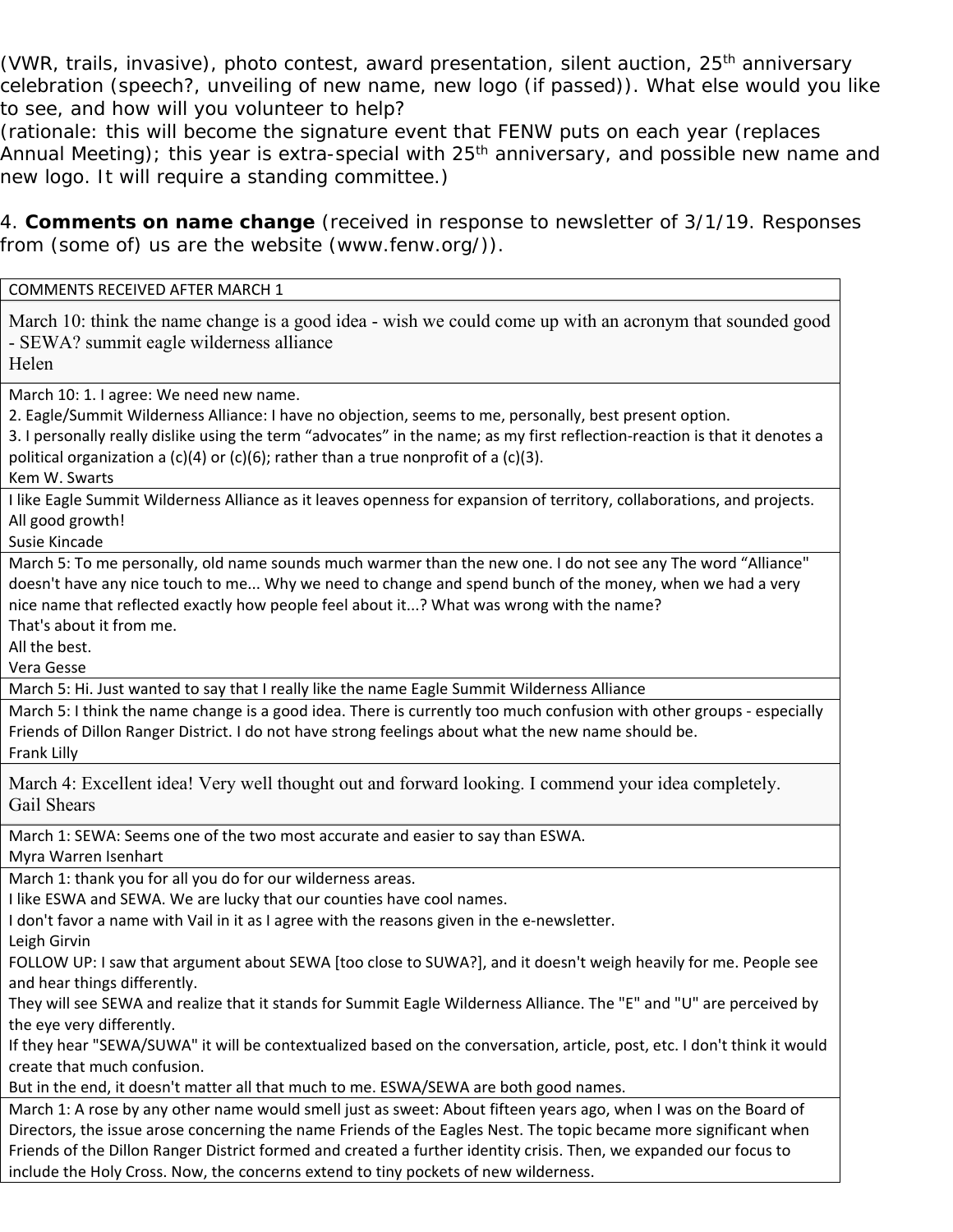(VWR, trails, invasive), photo contest, award presentation, silent auction, 25<sup>th</sup> anniversary celebration (speech?, unveiling of new name, new logo (if passed)). What else would you like to see, and *how will you volunteer* to help?

(rationale: this will become the signature event that FENW puts on each year (replaces Annual Meeting); this year is extra-special with 25<sup>th</sup> anniversary, and possible new name and new logo. It will require a *standing committee*.)

4. **Comments on name change** (received in response to newsletter of 3/1/19. Responses from (some of) us are the website (www.fenw.org/)).

| COMMENTS RECEIVED AFTER MARCH 1                                                                                                                                                                                                                                                                                                                                                                    |
|----------------------------------------------------------------------------------------------------------------------------------------------------------------------------------------------------------------------------------------------------------------------------------------------------------------------------------------------------------------------------------------------------|
| March 10: think the name change is a good idea - wish we could come up with an acronym that sounded good<br>- SEWA? summit eagle wilderness alliance<br>Helen                                                                                                                                                                                                                                      |
| March 10: 1. I agree: We need new name.<br>2. Eagle/Summit Wilderness Alliance: I have no objection, seems to me, personally, best present option.<br>3. I personally really dislike using the term "advocates" in the name; as my first reflection-reaction is that it denotes a<br>political organization a $(c)(4)$ or $(c)(6)$ ; rather than a true nonprofit of a $(c)(3)$ .<br>Kem W. Swarts |
| I like Eagle Summit Wilderness Alliance as it leaves openness for expansion of territory, collaborations, and projects.<br>All good growth!<br>Susie Kincade                                                                                                                                                                                                                                       |
| March 5: To me personally, old name sounds much warmer than the new one. I do not see any The word "Alliance"<br>doesn't have any nice touch to me Why we need to change and spend bunch of the money, when we had a very<br>nice name that reflected exactly how people feel about it? What was wrong with the name?<br>That's about it from me.<br>All the best.<br>Vera Gesse                   |
| March 5: Hi. Just wanted to say that I really like the name Eagle Summit Wilderness Alliance                                                                                                                                                                                                                                                                                                       |
| March 5: I think the name change is a good idea. There is currently too much confusion with other groups - especially<br>Friends of Dillon Ranger District. I do not have strong feelings about what the new name should be.<br>Frank Lilly                                                                                                                                                        |
| March 4: Excellent idea! Very well thought out and forward looking. I commend your idea completely.<br>Gail Shears                                                                                                                                                                                                                                                                                 |
| March 1: SEWA: Seems one of the two most accurate and easier to say than ESWA.<br>Myra Warren Isenhart                                                                                                                                                                                                                                                                                             |
| March 1: thank you for all you do for our wilderness areas.                                                                                                                                                                                                                                                                                                                                        |
| I like ESWA and SEWA. We are lucky that our counties have cool names.                                                                                                                                                                                                                                                                                                                              |
| I don't favor a name with Vail in it as I agree with the reasons given in the e-newsletter.                                                                                                                                                                                                                                                                                                        |
| Leigh Girvin                                                                                                                                                                                                                                                                                                                                                                                       |
| FOLLOW UP: I saw that argument about SEWA [too close to SUWA?], and it doesn't weigh heavily for me. People see                                                                                                                                                                                                                                                                                    |
| and hear things differently.                                                                                                                                                                                                                                                                                                                                                                       |
| They will see SEWA and realize that it stands for Summit Eagle Wilderness Alliance. The "E" and "U" are perceived by                                                                                                                                                                                                                                                                               |
| the eye very differently.                                                                                                                                                                                                                                                                                                                                                                          |
| If they hear "SEWA/SUWA" it will be contextualized based on the conversation, article, post, etc. I don't think it would                                                                                                                                                                                                                                                                           |
| create that much confusion.                                                                                                                                                                                                                                                                                                                                                                        |
| But in the end, it doesn't matter all that much to me. ESWA/SEWA are both good names.                                                                                                                                                                                                                                                                                                              |
| March 1: A rose by any other name would smell just as sweet: About fifteen years ago, when I was on the Board of                                                                                                                                                                                                                                                                                   |
| Directors, the issue arose concerning the name Friends of the Eagles Nest. The topic became more significant when                                                                                                                                                                                                                                                                                  |
| Friends of the Dillon Ranger District formed and created a further identity crisis. Then, we expanded our focus to                                                                                                                                                                                                                                                                                 |
| include the Holy Cross. Now, the concerns extend to tiny pockets of new wilderness.                                                                                                                                                                                                                                                                                                                |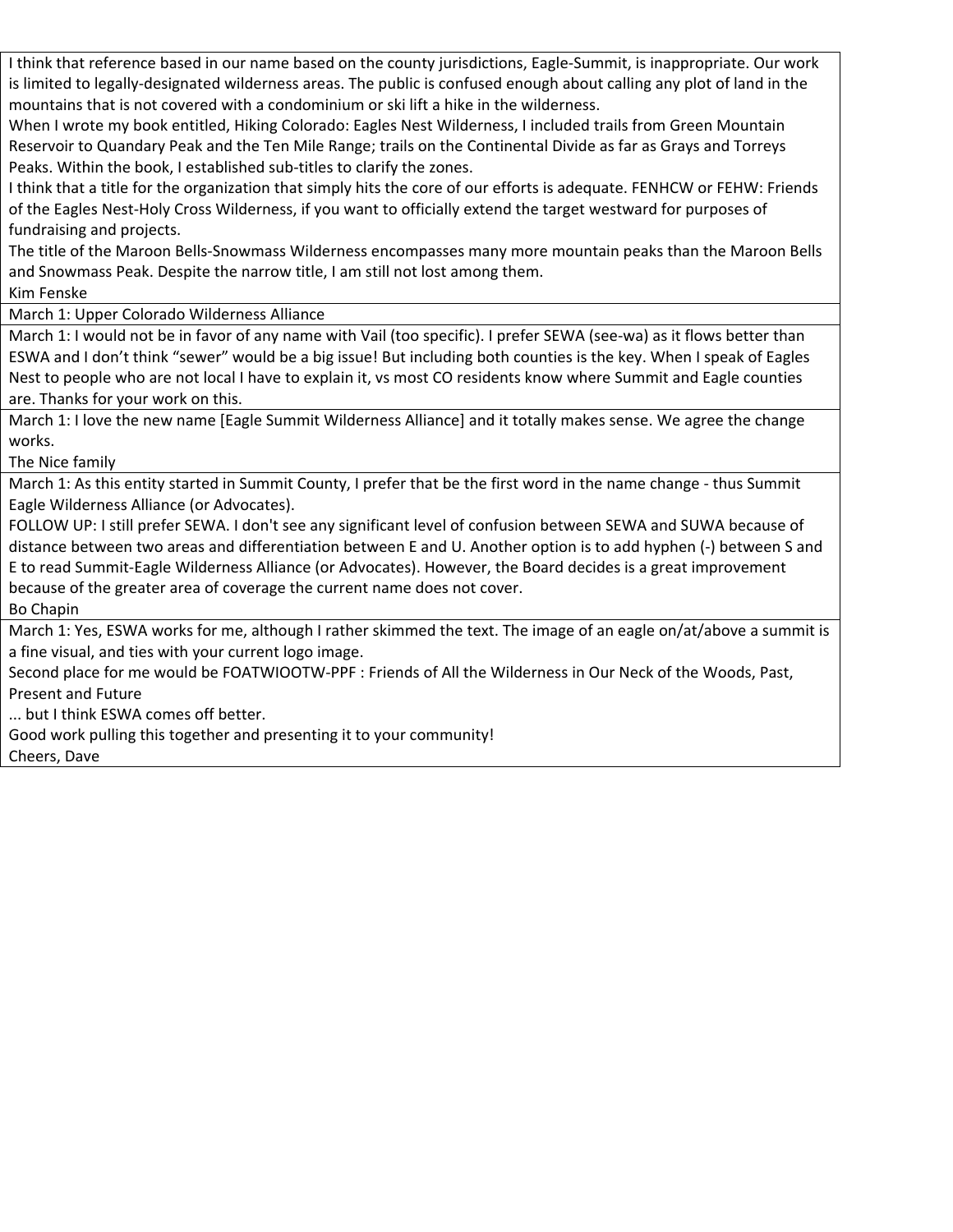| I think that reference based in our name based on the county jurisdictions, Eagle-Summit, is inappropriate. Our work                                                                                             |
|------------------------------------------------------------------------------------------------------------------------------------------------------------------------------------------------------------------|
| is limited to legally-designated wilderness areas. The public is confused enough about calling any plot of land in the<br>mountains that is not covered with a condominium or ski lift a hike in the wilderness. |
| When I wrote my book entitled, Hiking Colorado: Eagles Nest Wilderness, I included trails from Green Mountain                                                                                                    |
| Reservoir to Quandary Peak and the Ten Mile Range; trails on the Continental Divide as far as Grays and Torreys                                                                                                  |
| Peaks. Within the book, I established sub-titles to clarify the zones.                                                                                                                                           |
| I think that a title for the organization that simply hits the core of our efforts is adequate. FENHCW or FEHW: Friends                                                                                          |
| of the Eagles Nest-Holy Cross Wilderness, if you want to officially extend the target westward for purposes of                                                                                                   |
| fundraising and projects.                                                                                                                                                                                        |
| The title of the Maroon Bells-Snowmass Wilderness encompasses many more mountain peaks than the Maroon Bells                                                                                                     |
| and Snowmass Peak. Despite the narrow title, I am still not lost among them.                                                                                                                                     |
| Kim Fenske                                                                                                                                                                                                       |
| March 1: Upper Colorado Wilderness Alliance                                                                                                                                                                      |
| March 1: I would not be in favor of any name with Vail (too specific). I prefer SEWA (see-wa) as it flows better than                                                                                            |
| ESWA and I don't think "sewer" would be a big issue! But including both counties is the key. When I speak of Eagles                                                                                              |
| Nest to people who are not local I have to explain it, vs most CO residents know where Summit and Eagle counties                                                                                                 |
| are. Thanks for your work on this.                                                                                                                                                                               |
| March 1: I love the new name [Eagle Summit Wilderness Alliance] and it totally makes sense. We agree the change                                                                                                  |
| works.                                                                                                                                                                                                           |
| The Nice family                                                                                                                                                                                                  |
| March 1: As this entity started in Summit County, I prefer that be the first word in the name change - thus Summit                                                                                               |
| Eagle Wilderness Alliance (or Advocates).                                                                                                                                                                        |
| FOLLOW UP: I still prefer SEWA. I don't see any significant level of confusion between SEWA and SUWA because of                                                                                                  |
| distance between two areas and differentiation between E and U. Another option is to add hyphen (-) between S and                                                                                                |
| E to read Summit-Eagle Wilderness Alliance (or Advocates). However, the Board decides is a great improvement                                                                                                     |
| because of the greater area of coverage the current name does not cover.                                                                                                                                         |
| Bo Chapin                                                                                                                                                                                                        |
| March 1: Yes, ESWA works for me, although I rather skimmed the text. The image of an eagle on/at/above a summit is                                                                                               |
| a fine visual, and ties with your current logo image.                                                                                                                                                            |
| Second place for me would be FOATWIOOTW-PPF : Friends of All the Wilderness in Our Neck of the Woods, Past,                                                                                                      |
| <b>Present and Future</b>                                                                                                                                                                                        |
| but I think ESWA comes off better.                                                                                                                                                                               |
| Good work pulling this together and presenting it to your community!                                                                                                                                             |

Cheers, Dave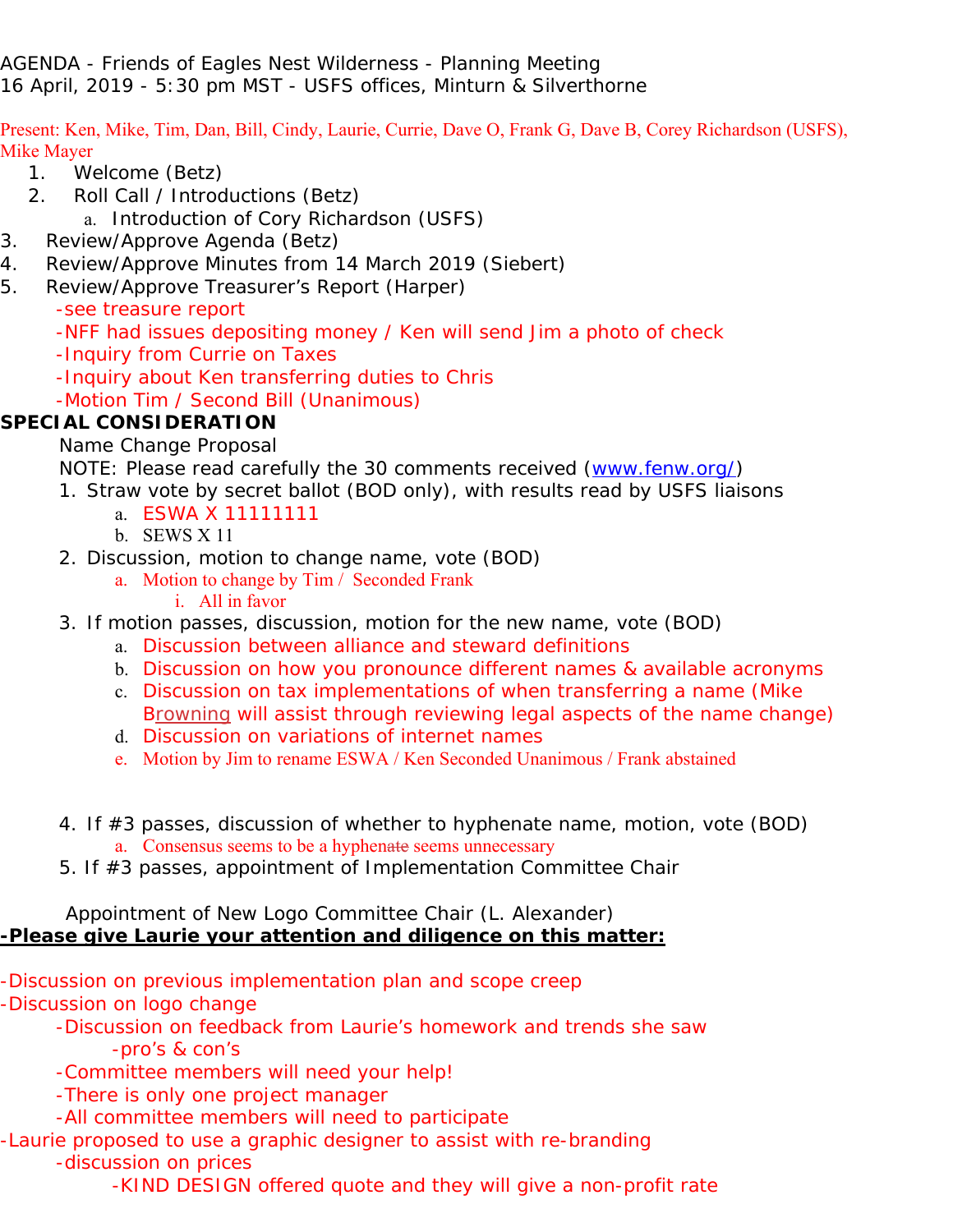AGENDA - Friends of Eagles Nest Wilderness - Planning Meeting 16 April, 2019 - 5:30 pm MST - USFS offices, Minturn & Silverthorne

Present: Ken, Mike, Tim, Dan, Bill, Cindy, Laurie, Currie, Dave O, Frank G, Dave B, Corey Richardson (USFS), Mike Mayer

- 1. Welcome (Betz)
- 2. Roll Call / Introductions (Betz)
	- a. Introduction of Cory Richardson (USFS)
- 3. Review/Approve Agenda (Betz)
- 4. Review/Approve Minutes from 14 March 2019 (Siebert)
- 5. Review/Approve Treasurer's Report (Harper)
	- -see treasure report
	- -NFF had issues depositing money / Ken will send Jim a photo of check
	- -Inquiry from Currie on Taxes
	- -Inquiry about Ken transferring duties to Chris
	- -Motion Tim / Second Bill (Unanimous)

## **SPECIAL CONSIDERATION**

Name Change Proposal

NOTE: Please read carefully the 30 comments received (www.fenw.org/)

- 1. Straw vote by secret ballot (BOD only), with results read by USFS liaisons
	- a. ESWA X 11111111
	- b. SEWS X 11
- 2. Discussion, motion to change name, vote (BOD)
	- a. Motion to change by Tim / Seconded Frank
		- i. All in favor
- 3. If motion passes, discussion, motion for the new name, vote (BOD)
	- a. Discussion between alliance and steward definitions
	- b. Discussion on how you pronounce different names & available acronyms
	- c. Discussion on tax implementations of when transferring a name (Mike Browning will assist through reviewing legal aspects of the name change)
	- d. Discussion on variations of internet names
	- e. Motion by Jim to rename ESWA / Ken Seconded Unanimous / Frank abstained
- 4. If #3 passes, discussion of whether to hyphenate name, motion, vote (BOD) a. Consensus seems to be a hyphenate seems unnecessary
- 5. If #3 passes, appointment of Implementation Committee Chair

### Appointment of New Logo Committee Chair (L. Alexander) **-Please give Laurie your attention and diligence on this matter:**

- -Discussion on previous implementation plan and scope creep
- -Discussion on logo change
	- -Discussion on feedback from Laurie's homework and trends she saw -pro's & con's
	- -Committee members will need your help!
	- -There is only one project manager
	- -All committee members will need to participate
- -Laurie proposed to use a graphic designer to assist with re-branding -discussion on prices

-KIND DESIGN offered quote and they will give a non-profit rate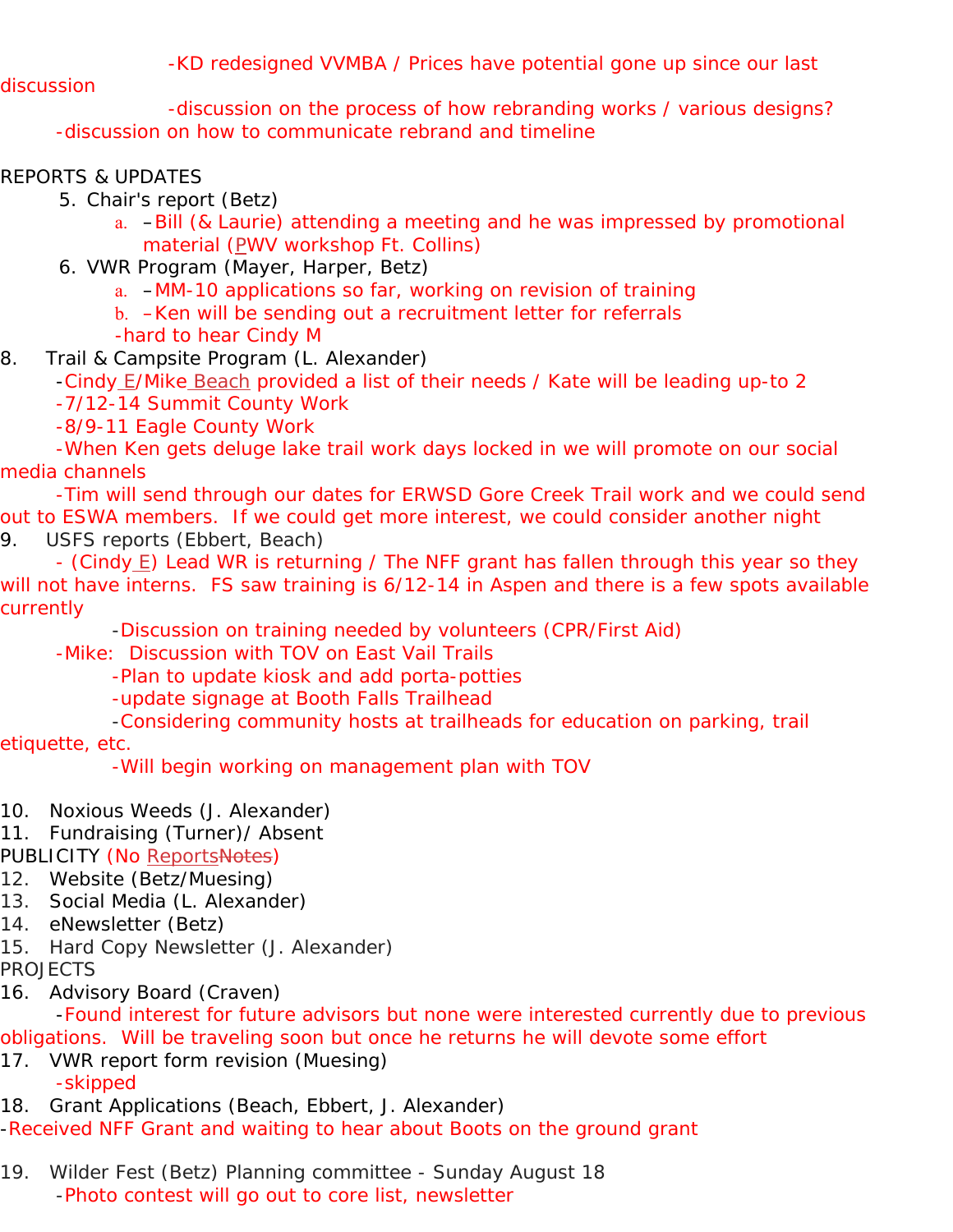-KD redesigned VVMBA / Prices have potential gone up since our last

discussion

 -discussion on the process of how rebranding works / various designs? -discussion on how to communicate rebrand and timeline

## REPORTS & UPDATES

5. Chair's report (Betz)

- a. –Bill (& Laurie) attending a meeting and he was impressed by promotional material (PWV workshop Ft. Collins)
- 6. VWR Program (Mayer, Harper, Betz)
	- a. –MM-10 applications so far, working on revision of training
	- b. –Ken will be sending out a recruitment letter for referrals
	- -hard to hear Cindy M
- 8. Trail & Campsite Program (L. Alexander)
	- -Cindy E/Mike Beach provided a list of their needs / Kate will be leading up-to 2

-7/12-14 Summit County Work

-8/9-11 Eagle County Work

 -When Ken gets deluge lake trail work days locked in we will promote on our social media channels

 -Tim will send through our dates for ERWSD Gore Creek Trail work and we could send out to ESWA members. If we could get more interest, we could consider another night 9. USFS reports (Ebbert, Beach)

- (Cindy E) Lead WR is returning / The NFF grant has fallen through this year so they will not have interns. FS saw training is 6/12-14 in Aspen and there is a few spots available currently

-Discussion on training needed by volunteers (CPR/First Aid)

-Mike: Discussion with TOV on East Vail Trails

-Plan to update kiosk and add porta-potties

-update signage at Booth Falls Trailhead

-Considering community hosts at trailheads for education on parking, trail

etiquette, etc.

-Will begin working on management plan with TOV

- 10. Noxious Weeds (J. Alexander)
- 11. Fundraising (Turner)/ Absent

PUBLICITY (No ReportsNotes)

- 12. Website (Betz/Muesing)
- 13. Social Media (L. Alexander)
- 14. eNewsletter (Betz)
- 15. Hard Copy Newsletter (J. Alexander)
- PROJECTS
- 16. Advisory Board (Craven)

 -Found interest for future advisors but none were interested currently due to previous obligations. Will be traveling soon but once he returns he will devote some effort

17. VWR report form revision (Muesing) -skipped

18. Grant Applications (Beach, Ebbert, J. Alexander)

-Received NFF Grant and waiting to hear about Boots on the ground grant

19. Wilder Fest (Betz) Planning committee - Sunday August 18 -Photo contest will go out to core list, newsletter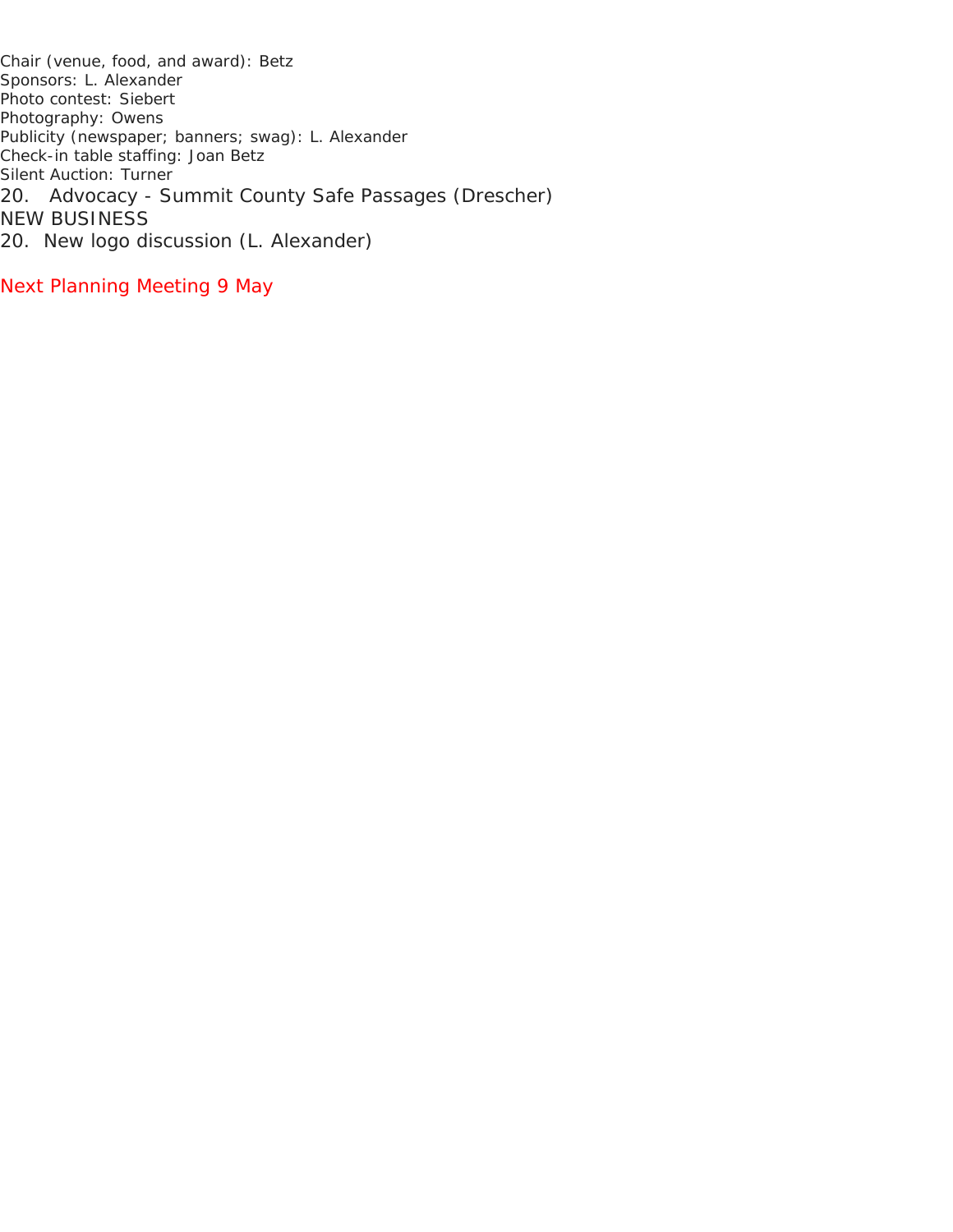Chair (venue, food, and award): Betz Sponsors: L. Alexander Photo contest: Siebert Photography: Owens Publicity (newspaper; banners; swag): L. Alexander Check-in table staffing: Joan Betz Silent Auction: Turner 20. Advocacy - Summit County Safe Passages (Drescher) NEW BUSINESS 20. New logo discussion (L. Alexander)

Next Planning Meeting 9 May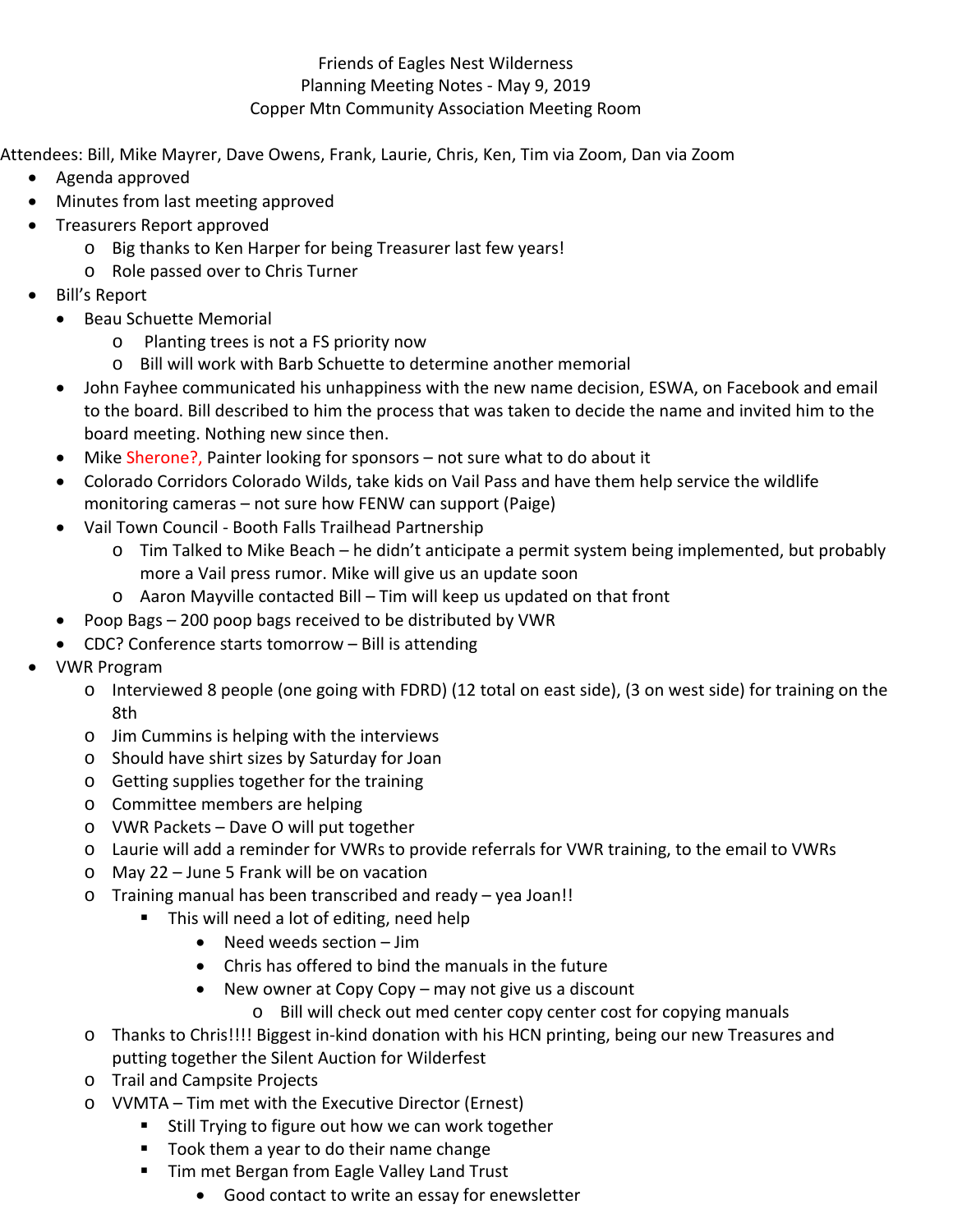### Friends of Eagles Nest Wilderness Planning Meeting Notes ‐ May 9, 2019 Copper Mtn Community Association Meeting Room

Attendees: Bill, Mike Mayrer, Dave Owens, Frank, Laurie, Chris, Ken, Tim via Zoom, Dan via Zoom

- Agenda approved
- Minutes from last meeting approved
- Treasurers Report approved
	- o Big thanks to Ken Harper for being Treasurer last few years!
	- o Role passed over to Chris Turner
- Bill's Report
	- Beau Schuette Memorial
		- o Planting trees is not a FS priority now
		- o Bill will work with Barb Schuette to determine another memorial
	- John Fayhee communicated his unhappiness with the new name decision, ESWA, on Facebook and email to the board. Bill described to him the process that was taken to decide the name and invited him to the board meeting. Nothing new since then.
	- Mike Sherone?, Painter looking for sponsors not sure what to do about it
	- Colorado Corridors Colorado Wilds, take kids on Vail Pass and have them help service the wildlife monitoring cameras – not sure how FENW can support (Paige)
	- Vail Town Council Booth Falls Trailhead Partnership
		- $\circ$  Tim Talked to Mike Beach he didn't anticipate a permit system being implemented, but probably more a Vail press rumor. Mike will give us an update soon
		- o Aaron Mayville contacted Bill Tim will keep us updated on that front
	- Poop Bags 200 poop bags received to be distributed by VWR
	- CDC? Conference starts tomorrow Bill is attending
- VWR Program
	- o Interviewed 8 people (one going with FDRD) (12 total on east side), (3 on west side) for training on the 8th
	- o Jim Cummins is helping with the interviews
	- o Should have shirt sizes by Saturday for Joan
	- o Getting supplies together for the training
	- o Committee members are helping
	- o VWR Packets Dave O will put together
	- o Laurie will add a reminder for VWRs to provide referrals for VWR training, to the email to VWRs
	- o May 22 June 5 Frank will be on vacation
	- o Training manual has been transcribed and ready yea Joan!!
		- **This will need a lot of editing, need help** 
			- Need weeds section Jim
			- Chris has offered to bind the manuals in the future
			- New owner at Copy Copy may not give us a discount
				- o Bill will check out med center copy center cost for copying manuals
	- o Thanks to Chris!!!! Biggest in‐kind donation with his HCN printing, being our new Treasures and putting together the Silent Auction for Wilderfest
	- o Trail and Campsite Projects
	- o VVMTA Tim met with the Executive Director (Ernest)
		- **Still Trying to figure out how we can work together**
		- Took them a year to do their name change
		- **Tim met Bergan from Eagle Valley Land Trust** 
			- Good contact to write an essay for enewsletter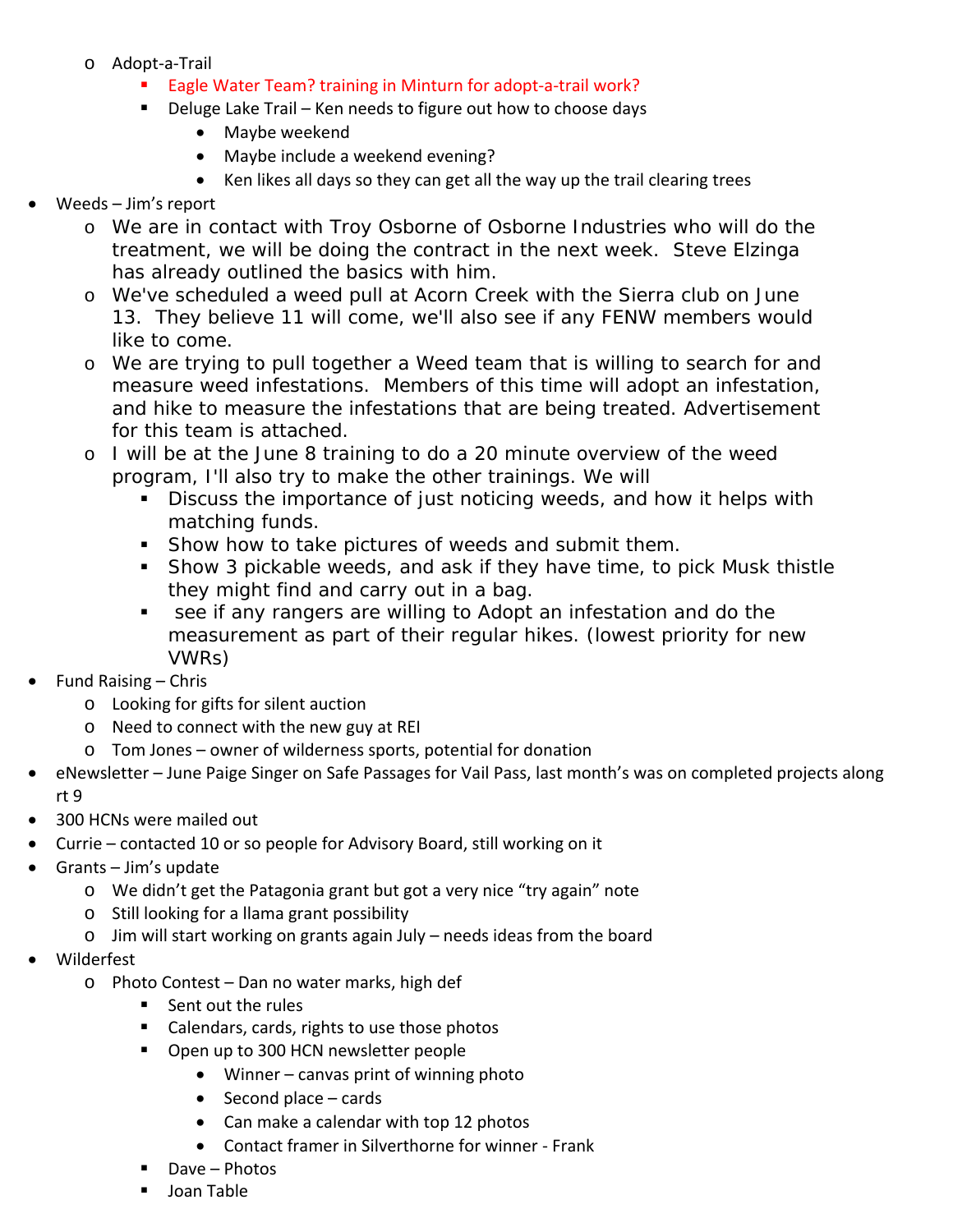- o Adopt‐a‐Trail
	- Eagle Water Team? training in Minturn for adopt-a-trail work?
	- Deluge Lake Trail Ken needs to figure out how to choose days
		- Maybe weekend
		- Maybe include a weekend evening?
		- Ken likes all days so they can get all the way up the trail clearing trees
- Weeds Jim's report
	- o We are in contact with Troy Osborne of Osborne Industries who will do the treatment, we will be doing the contract in the next week. Steve Elzinga has already outlined the basics with him.
	- o We've scheduled a weed pull at Acorn Creek with the Sierra club on June 13. They believe 11 will come, we'll also see if any FENW members would like to come.
	- o We are trying to pull together a Weed team that is willing to search for and measure weed infestations. Members of this time will adopt an infestation, and hike to measure the infestations that are being treated. Advertisement for this team is attached.
	- o I will be at the June 8 training to do a 20 minute overview of the weed program, I'll also try to make the other trainings. We will
		- Discuss the importance of just noticing weeds, and how it helps with matching funds.
		- **Show how to take pictures of weeds and submit them.**
		- Show 3 pickable weeds, and ask if they have time, to pick Musk thistle they might find and carry out in a bag.
		- see if any rangers are willing to Adopt an infestation and do the measurement as part of their regular hikes. (lowest priority for new VWRs)
- Fund Raising Chris
	- o Looking for gifts for silent auction
	- o Need to connect with the new guy at REI
	- o Tom Jones owner of wilderness sports, potential for donation
- eNewsletter June Paige Singer on Safe Passages for Vail Pass, last month's was on completed projects along rt 9
- 300 HCNs were mailed out
- Currie contacted 10 or so people for Advisory Board, still working on it
- Grants Jim's update
	- o We didn't get the Patagonia grant but got a very nice "try again" note
	- o Still looking for a llama grant possibility
	- o Jim will start working on grants again July needs ideas from the board
- Wilderfest
	- o Photo Contest Dan no water marks, high def
		- Sent out the rules
		- Calendars, cards, rights to use those photos
		- **Open up to 300 HCN newsletter people** 
			- Winner canvas print of winning photo
				- $\bullet$  Second place cards
				- Can make a calendar with top 12 photos
				- Contact framer in Silverthorne for winner Frank
		- Dave Photos
		- **Joan Table**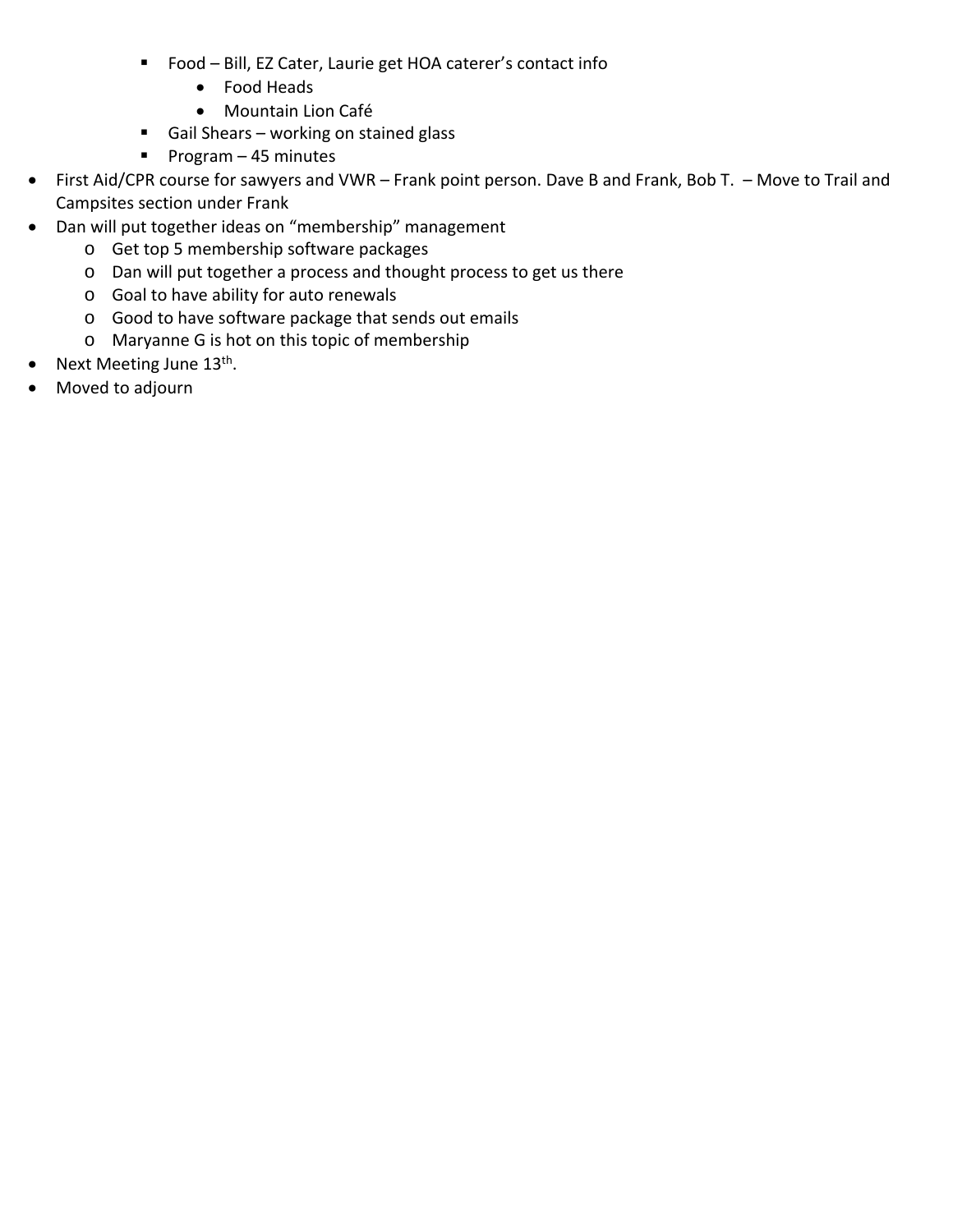- Food Bill, EZ Cater, Laurie get HOA caterer's contact info
	- Food Heads
	- Mountain Lion Café
- Gail Shears working on stained glass
- Program  $-45$  minutes
- First Aid/CPR course for sawyers and VWR Frank point person. Dave B and Frank, Bob T. Move to Trail and Campsites section under Frank
- Dan will put together ideas on "membership" management
	- o Get top 5 membership software packages
	- o Dan will put together a process and thought process to get us there
	- o Goal to have ability for auto renewals
	- o Good to have software package that sends out emails
	- o Maryanne G is hot on this topic of membership
- Next Meeting June 13<sup>th</sup>.
- Moved to adjourn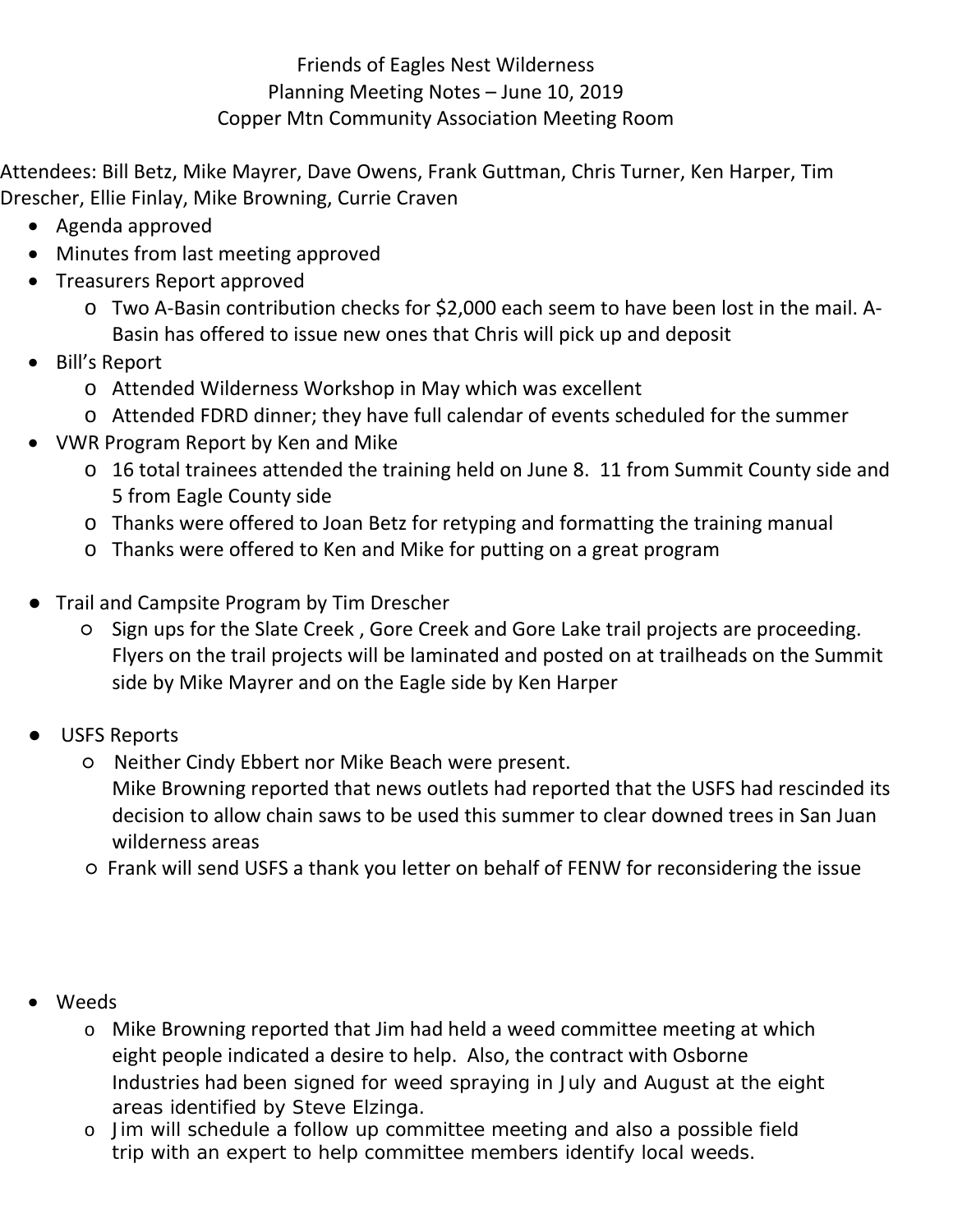# Friends of Eagles Nest Wilderness Planning Meeting Notes – June 10, 2019 Copper Mtn Community Association Meeting Room

Attendees: Bill Betz, Mike Mayrer, Dave Owens, Frank Guttman, Chris Turner, Ken Harper, Tim Drescher, Ellie Finlay, Mike Browning, Currie Craven

- Agenda approved
- Minutes from last meeting approved
- Treasurers Report approved
	- o Two A‐Basin contribution checks for \$2,000 each seem to have been lost in the mail. A‐ Basin has offered to issue new ones that Chris will pick up and deposit
- Bill's Report
	- o Attended Wilderness Workshop in May which was excellent
	- o Attended FDRD dinner; they have full calendar of events scheduled for the summer
- VWR Program Report by Ken and Mike
	- o 16 total trainees attended the training held on June 8. 11 from Summit County side and 5 from Eagle County side
	- o Thanks were offered to Joan Betz for retyping and formatting the training manual
	- o Thanks were offered to Ken and Mike for putting on a great program
- Trail and Campsite Program by Tim Drescher
	- ○ Sign ups for the Slate Creek , Gore Creek and Gore Lake trail projects are proceeding. Flyers on the trail projects will be laminated and posted on at trailheads on the Summit side by Mike Mayrer and on the Eagle side by Ken Harper
- USFS Reports
	- ○ Neither Cindy Ebbert nor Mike Beach were present. Mike Browning reported that news outlets had reported that the USFS had rescinded its decision to allow chain saws to be used this summer to clear downed trees in San Juan wilderness areas
	- Frank will send USFS a thank you letter on behalf of FENW for reconsidering the issue
- Weeds
	- o Mike Browning reported that Jim had held a weed committee meeting at which eight people indicated a desire to help. Also, the contract with Osborne Industries had been signed for weed spraying in July and August at the eight areas identified by Steve Elzinga.
	- o Jim will schedule a follow up committee meeting and also a possible field trip with an expert to help committee members identify local weeds.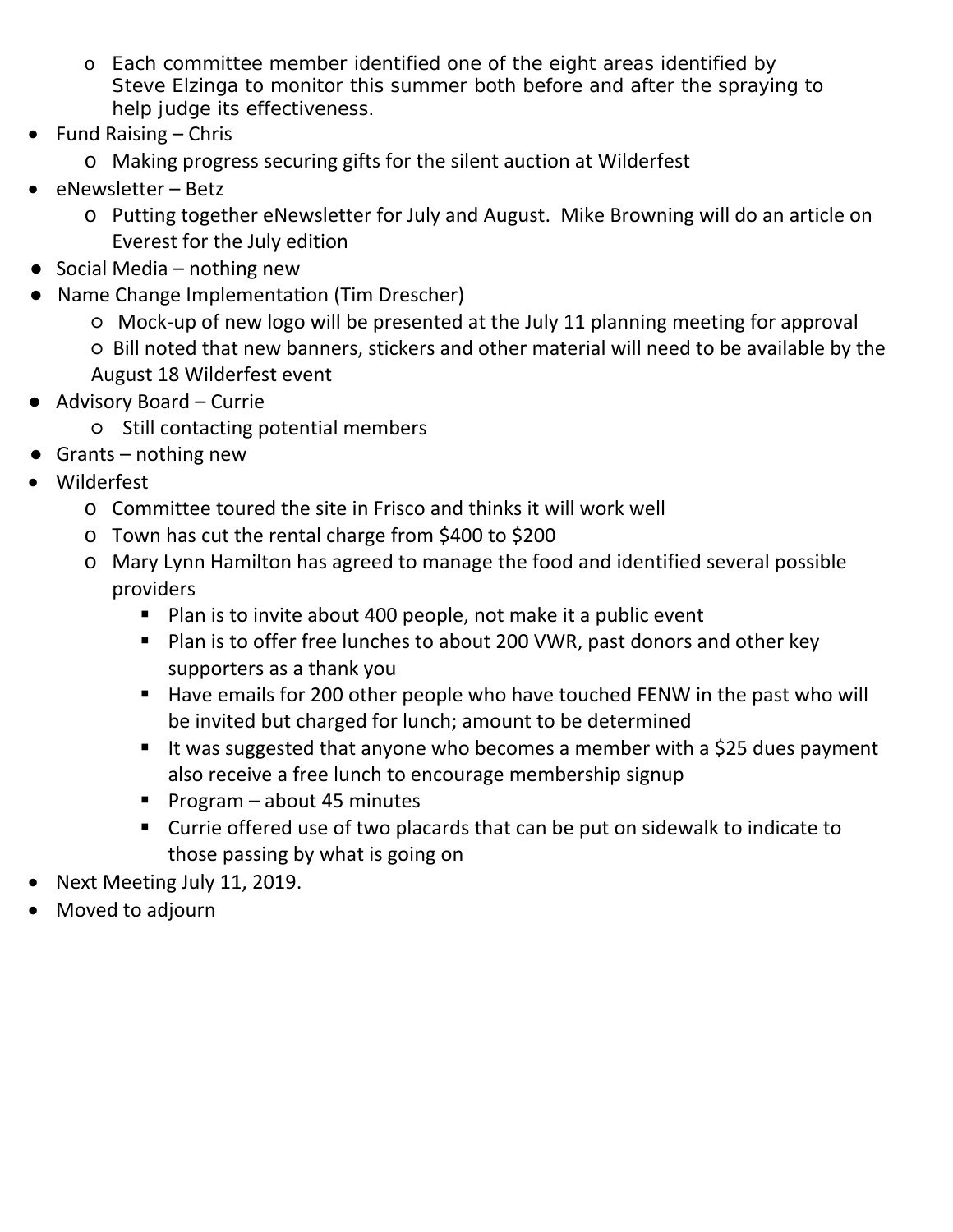- o Each committee member identified one of the eight areas identified by Steve Elzinga to monitor this summer both before and after the spraying to help judge its effectiveness.
- $\bullet$  Fund Raising Chris
	- o Making progress securing gifts for the silent auction at Wilderfest
- eNewsletter Betz
	- o Putting together eNewsletter for July and August. Mike Browning will do an article on Everest for the July edition
- $\bullet$  Social Media nothing new
- Name Change Implementation (Tim Drescher)
	- Mock‐up of new logo will be presented at the July 11 planning meeting for approval
	- Bill noted that new banners, stickers and other material will need to be available by the August 18 Wilderfest event
- Advisory Board Currie
	- Still contacting potential members
- $\bullet$  Grants nothing new
- Wilderfest
	- o Committee toured the site in Frisco and thinks it will work well
	- o Town has cut the rental charge from \$400 to \$200
	- o Mary Lynn Hamilton has agreed to manage the food and identified several possible providers
		- Plan is to invite about 400 people, not make it a public event
		- **Plan is to offer free lunches to about 200 VWR, past donors and other key** supporters as a thank you
		- Have emails for 200 other people who have touched FENW in the past who will be invited but charged for lunch; amount to be determined
		- It was suggested that anyone who becomes a member with a \$25 dues payment also receive a free lunch to encourage membership signup
		- Program about 45 minutes
		- Currie offered use of two placards that can be put on sidewalk to indicate to those passing by what is going on
- Next Meeting July 11, 2019.
- Moved to adjourn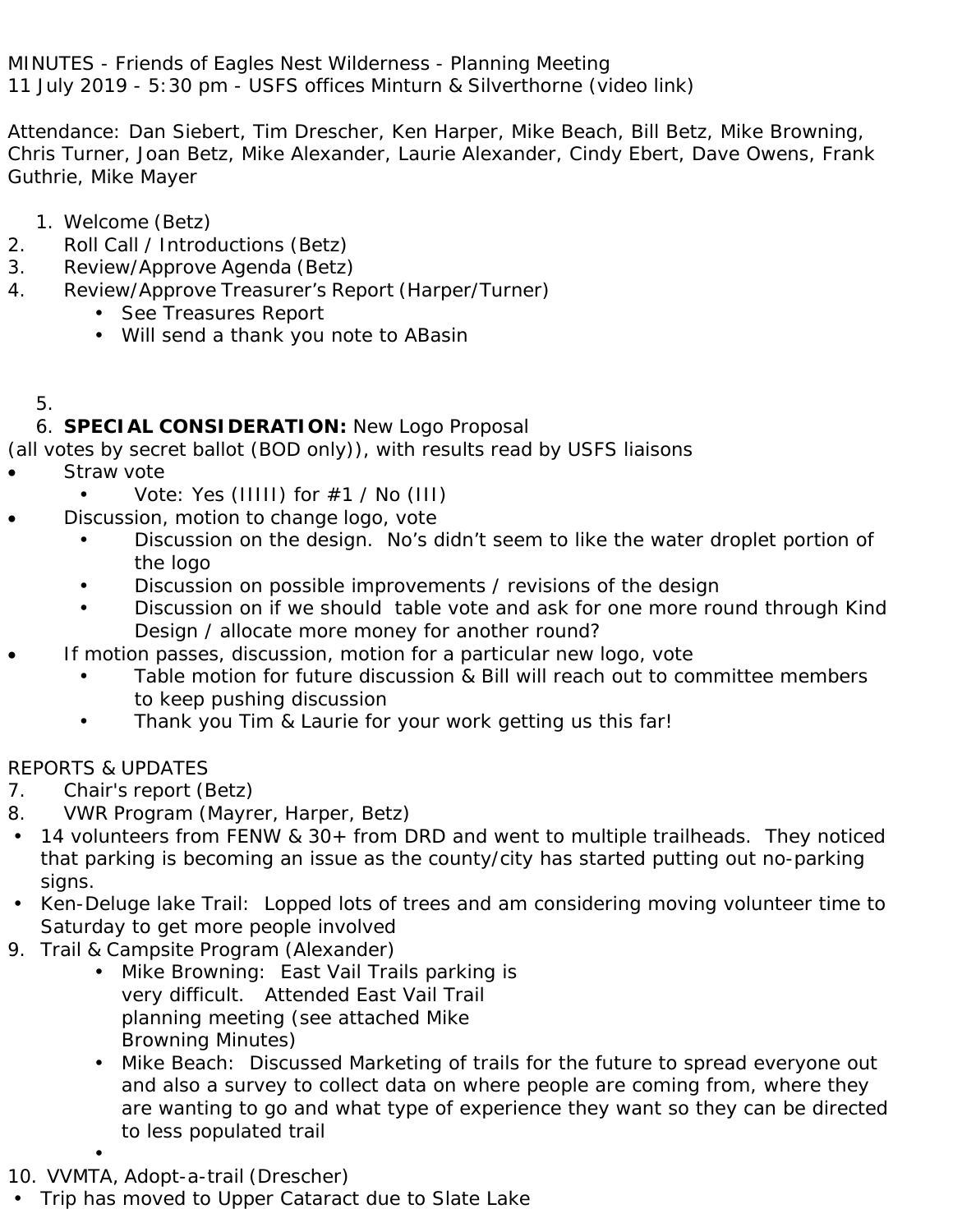MINUTES - Friends of Eagles Nest Wilderness - Planning Meeting 11 July 2019 - 5:30 pm - USFS offices Minturn & Silverthorne (video link)

Attendance: Dan Siebert, Tim Drescher, Ken Harper, Mike Beach, Bill Betz, Mike Browning, Chris Turner, Joan Betz, Mike Alexander, Laurie Alexander, Cindy Ebert, Dave Owens, Frank Guthrie, Mike Mayer

- 1. Welcome (Betz)
- 2. Roll Call / Introductions (Betz)
- 3. Review/Approve Agenda (Betz)
- 4. Review/Approve Treasurer's Report (Harper/Turner)
	- See Treasures Report
	- Will send a thank you note to ABasin

## 5.

## 6. **SPECIAL CONSIDERATION:** New Logo Proposal

(all votes by secret ballot (BOD only)), with results read by USFS liaisons

- Straw vote
	- Vote: Yes (IIIII) for  $\#1$  / No (III)
	- Discussion, motion to change logo, vote
		- Discussion on the design. No's didn't seem to like the water droplet portion of the logo
		- Discussion on possible improvements / revisions of the design
		- Discussion on if we should table vote and ask for one more round through Kind Design / allocate more money for another round?
- If motion passes, discussion, motion for a particular new logo, vote
	- Table motion for future discussion & Bill will reach out to committee members to keep pushing discussion
	- Thank you Tim & Laurie for your work getting us this far!

## REPORTS & UPDATES

- 7. Chair's report (Betz)
- 8. VWR Program (Mayrer, Harper, Betz)
- 14 volunteers from FENW & 30+ from DRD and went to multiple trailheads. They noticed that parking is becoming an issue as the county/city has started putting out no-parking signs.
- Ken-Deluge lake Trail: Lopped lots of trees and am considering moving volunteer time to Saturday to get more people involved
- 9. Trail & Campsite Program (Alexander)
	- Mike Browning: East Vail Trails parking is very difficult. Attended East Vail Trail planning meeting (see attached Mike Browning Minutes)
	- Mike Beach: Discussed Marketing of trails for the future to spread everyone out and also a survey to collect data on where people are coming from, where they are wanting to go and what type of experience they want so they can be directed to less populated trail
- 10. VVMTA, Adopt-a-trail (Drescher)
- Trip has moved to Upper Cataract due to Slate Lake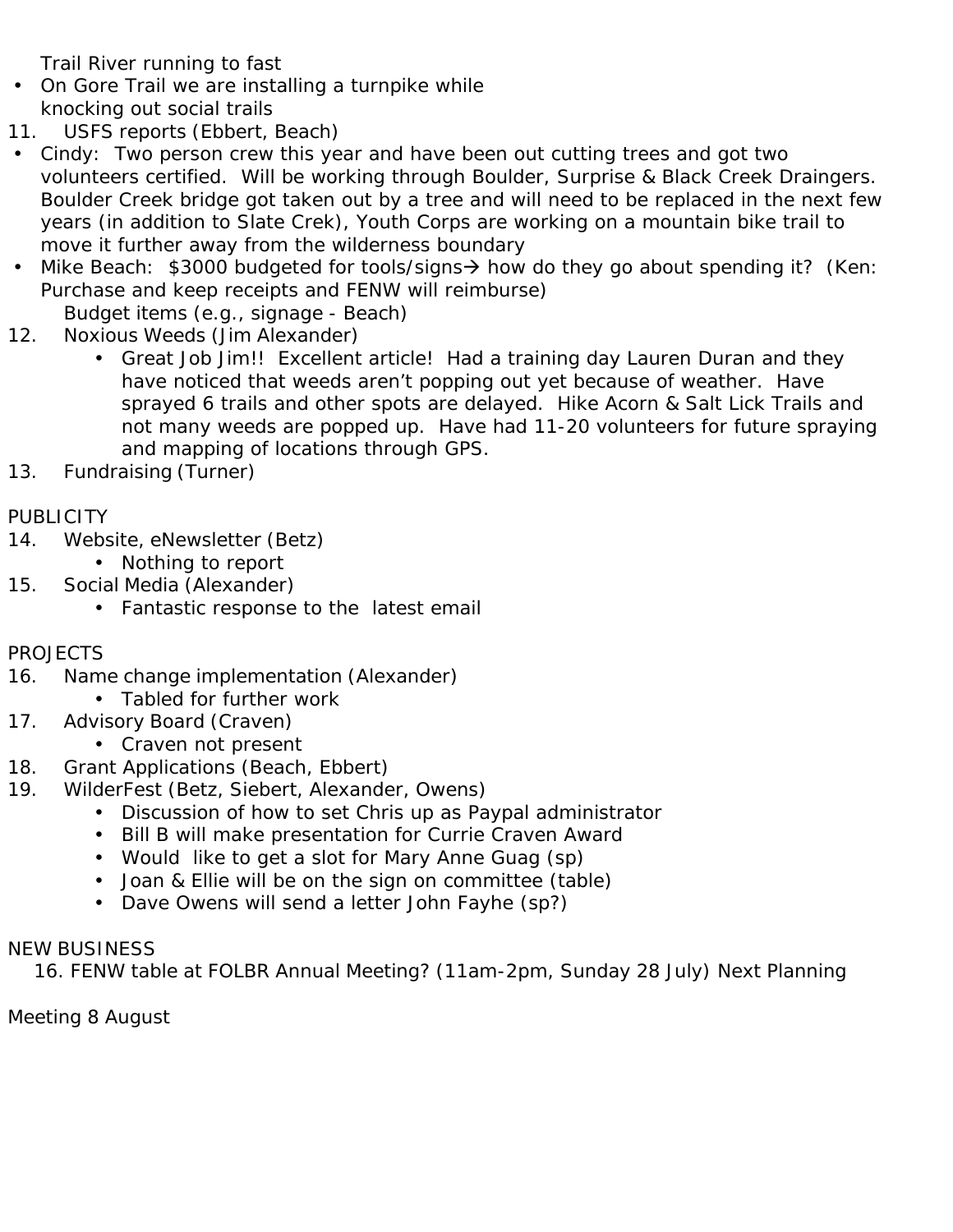Trail River running to fast

- On Gore Trail we are installing a turnpike while knocking out social trails
- 11. USFS reports (Ebbert, Beach)
- Cindy: Two person crew this year and have been out cutting trees and got two volunteers certified. Will be working through Boulder, Surprise & Black Creek Draingers. Boulder Creek bridge got taken out by a tree and will need to be replaced in the next few years (in addition to Slate Crek), Youth Corps are working on a mountain bike trail to move it further away from the wilderness boundary
- Mike Beach: \$3000 budgeted for tools/signs  $\rightarrow$  how do they go about spending it? (Ken: Purchase and keep receipts and FENW will reimburse)

Budget items (e.g., signage - Beach)

- 12. Noxious Weeds (Jim Alexander)
	- Great Job Jim!! Excellent article! Had a training day Lauren Duran and they have noticed that weeds aren't popping out yet because of weather. Have sprayed 6 trails and other spots are delayed. Hike Acorn & Salt Lick Trails and not many weeds are popped up. Have had 11-20 volunteers for future spraying and mapping of locations through GPS.
- 13. Fundraising (Turner)

## **PUBLICITY**

- 14. Website, eNewsletter (Betz)
	- Nothing to report
- 15. Social Media (Alexander)
	- Fantastic response to the latest email
- PROJECTS
- 16. Name change implementation (Alexander)
	- Tabled for further work
- 17. Advisory Board (Craven)
	- Craven not present
- 18. Grant Applications (Beach, Ebbert)
- 19. WilderFest (Betz, Siebert, Alexander, Owens)
	- Discussion of how to set Chris up as Paypal administrator
	- Bill B will make presentation for Currie Craven Award
	- Would like to get a slot for Mary Anne Guag (sp)
	- Joan & Ellie will be on the sign on committee (table)
	- Dave Owens will send a letter John Fayhe (sp?)

### NEW BUSINESS

16. FENW table at FOLBR Annual Meeting? (11am-2pm, Sunday 28 July) Next Planning

Meeting 8 August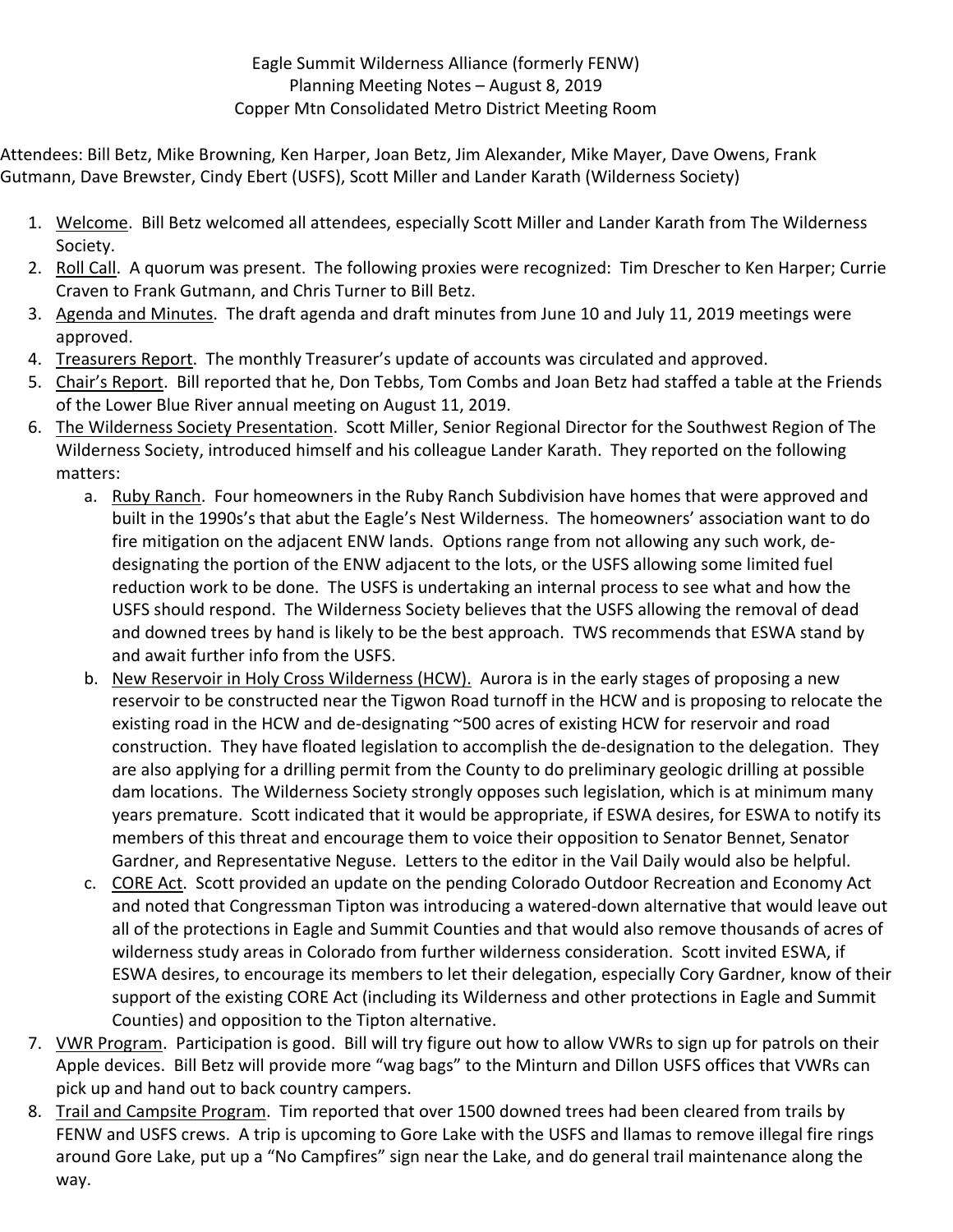### Eagle Summit Wilderness Alliance (formerly FENW) Planning Meeting Notes – August 8, 2019 Copper Mtn Consolidated Metro District Meeting Room

Attendees: Bill Betz, Mike Browning, Ken Harper, Joan Betz, Jim Alexander, Mike Mayer, Dave Owens, Frank Gutmann, Dave Brewster, Cindy Ebert (USFS), Scott Miller and Lander Karath (Wilderness Society)

- 1. Welcome. Bill Betz welcomed all attendees, especially Scott Miller and Lander Karath from The Wilderness Society.
- 2. Roll Call. A quorum was present. The following proxies were recognized: Tim Drescher to Ken Harper; Currie Craven to Frank Gutmann, and Chris Turner to Bill Betz.
- 3. Agenda and Minutes. The draft agenda and draft minutes from June 10 and July 11, 2019 meetings were approved.
- 4. Treasurers Report. The monthly Treasurer's update of accounts was circulated and approved.
- 5. Chair's Report. Bill reported that he, Don Tebbs, Tom Combs and Joan Betz had staffed a table at the Friends of the Lower Blue River annual meeting on August 11, 2019.
- 6. The Wilderness Society Presentation. Scott Miller, Senior Regional Director for the Southwest Region of The Wilderness Society, introduced himself and his colleague Lander Karath. They reported on the following matters:
	- a. Ruby Ranch. Four homeowners in the Ruby Ranch Subdivision have homes that were approved and built in the 1990s's that abut the Eagle's Nest Wilderness. The homeowners' association want to do fire mitigation on the adjacent ENW lands. Options range from not allowing any such work, dedesignating the portion of the ENW adjacent to the lots, or the USFS allowing some limited fuel reduction work to be done. The USFS is undertaking an internal process to see what and how the USFS should respond. The Wilderness Society believes that the USFS allowing the removal of dead and downed trees by hand is likely to be the best approach. TWS recommends that ESWA stand by and await further info from the USFS.
	- b. New Reservoir in Holy Cross Wilderness (HCW). Aurora is in the early stages of proposing a new reservoir to be constructed near the Tigwon Road turnoff in the HCW and is proposing to relocate the existing road in the HCW and de-designating ~500 acres of existing HCW for reservoir and road construction. They have floated legislation to accomplish the de‐designation to the delegation. They are also applying for a drilling permit from the County to do preliminary geologic drilling at possible dam locations. The Wilderness Society strongly opposes such legislation, which is at minimum many years premature. Scott indicated that it would be appropriate, if ESWA desires, for ESWA to notify its members of this threat and encourage them to voice their opposition to Senator Bennet, Senator Gardner, and Representative Neguse. Letters to the editor in the Vail Daily would also be helpful.
	- c. CORE Act. Scott provided an update on the pending Colorado Outdoor Recreation and Economy Act and noted that Congressman Tipton was introducing a watered‐down alternative that would leave out all of the protections in Eagle and Summit Counties and that would also remove thousands of acres of wilderness study areas in Colorado from further wilderness consideration. Scott invited ESWA, if ESWA desires, to encourage its members to let their delegation, especially Cory Gardner, know of their support of the existing CORE Act (including its Wilderness and other protections in Eagle and Summit Counties) and opposition to the Tipton alternative.
- 7. VWR Program. Participation is good. Bill will try figure out how to allow VWRs to sign up for patrols on their Apple devices. Bill Betz will provide more "wag bags" to the Minturn and Dillon USFS offices that VWRs can pick up and hand out to back country campers.
- 8. Trail and Campsite Program. Tim reported that over 1500 downed trees had been cleared from trails by FENW and USFS crews. A trip is upcoming to Gore Lake with the USFS and llamas to remove illegal fire rings around Gore Lake, put up a "No Campfires" sign near the Lake, and do general trail maintenance along the way.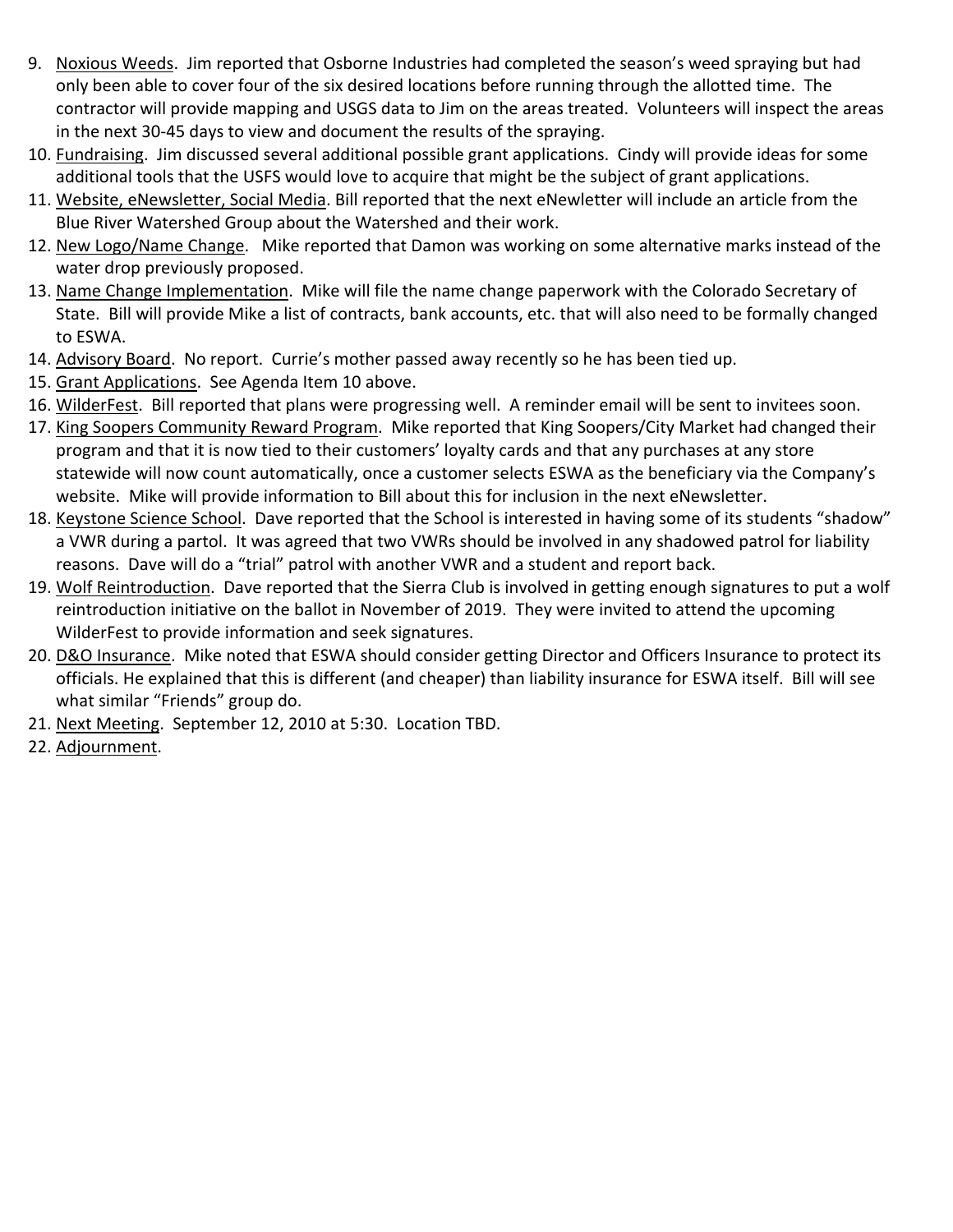- 9. Noxious Weeds. Jim reported that Osborne Industries had completed the season's weed spraying but had only been able to cover four of the six desired locations before running through the allotted time. The contractor will provide mapping and USGS data to Jim on the areas treated. Volunteers will inspect the areas in the next 30‐45 days to view and document the results of the spraying.
- 10. Fundraising. Jim discussed several additional possible grant applications. Cindy will provide ideas for some additional tools that the USFS would love to acquire that might be the subject of grant applications.
- 11. Website, eNewsletter, Social Media. Bill reported that the next eNewletter will include an article from the Blue River Watershed Group about the Watershed and their work.
- 12. New Logo/Name Change. Mike reported that Damon was working on some alternative marks instead of the water drop previously proposed.
- 13. Name Change Implementation. Mike will file the name change paperwork with the Colorado Secretary of State. Bill will provide Mike a list of contracts, bank accounts, etc. that will also need to be formally changed to ESWA.
- 14. Advisory Board. No report. Currie's mother passed away recently so he has been tied up.
- 15. Grant Applications. See Agenda Item 10 above.
- 16. WilderFest. Bill reported that plans were progressing well. A reminder email will be sent to invitees soon.
- 17. King Soopers Community Reward Program. Mike reported that King Soopers/City Market had changed their program and that it is now tied to their customers' loyalty cards and that any purchases at any store statewide will now count automatically, once a customer selects ESWA as the beneficiary via the Company's website. Mike will provide information to Bill about this for inclusion in the next eNewsletter.
- 18. Keystone Science School. Dave reported that the School is interested in having some of its students "shadow" a VWR during a partol. It was agreed that two VWRs should be involved in any shadowed patrol for liability reasons. Dave will do a "trial" patrol with another VWR and a student and report back.
- 19. Wolf Reintroduction. Dave reported that the Sierra Club is involved in getting enough signatures to put a wolf reintroduction initiative on the ballot in November of 2019. They were invited to attend the upcoming WilderFest to provide information and seek signatures.
- 20. D&O Insurance. Mike noted that ESWA should consider getting Director and Officers Insurance to protect its officials. He explained that this is different (and cheaper) than liability insurance for ESWA itself. Bill will see what similar "Friends" group do.
- 21. Next Meeting. September 12, 2010 at 5:30. Location TBD.
- 22. Adjournment.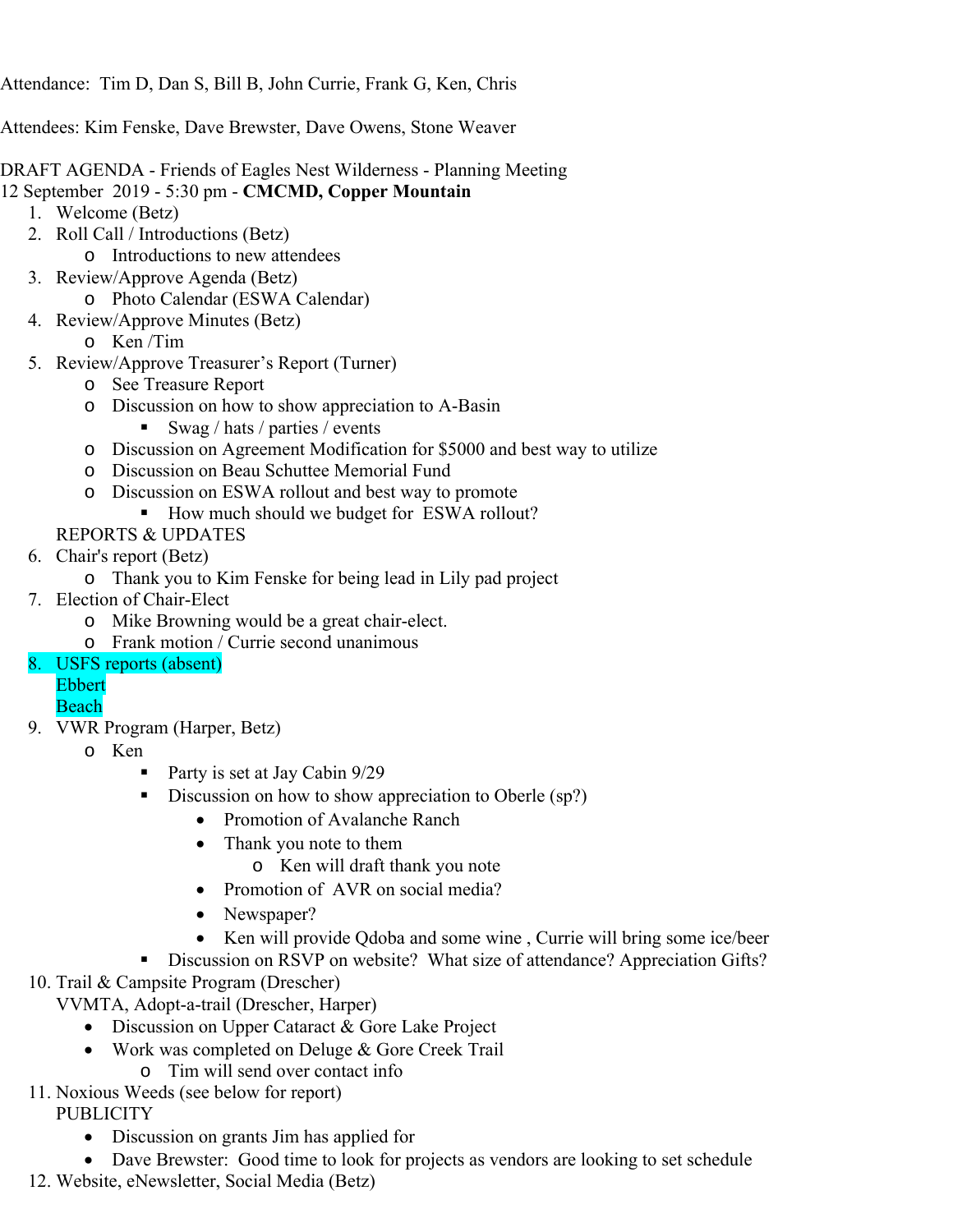Attendance: Tim D, Dan S, Bill B, John Currie, Frank G, Ken, Chris

Attendees: Kim Fenske, Dave Brewster, Dave Owens, Stone Weaver

DRAFT AGENDA - Friends of Eagles Nest Wilderness - Planning Meeting

- 12 September 2019 5:30 pm **CMCMD, Copper Mountain** 
	- 1. Welcome (Betz)
	- 2. Roll Call / Introductions (Betz)
		- o Introductions to new attendees
	- 3. Review/Approve Agenda (Betz)
		- o Photo Calendar (ESWA Calendar)
	- 4. Review/Approve Minutes (Betz)
		- o Ken /Tim
	- 5. Review/Approve Treasurer's Report (Turner)
		- o See Treasure Report
		- o Discussion on how to show appreciation to A-Basin
			- Swag / hats / parties / events
		- o Discussion on Agreement Modification for \$5000 and best way to utilize
		- o Discussion on Beau Schuttee Memorial Fund
		- o Discussion on ESWA rollout and best way to promote
			- How much should we budget for ESWA rollout?
		- REPORTS & UPDATES
	- 6. Chair's report (Betz)
		- o Thank you to Kim Fenske for being lead in Lily pad project
	- 7. Election of Chair-Elect
		- o Mike Browning would be a great chair-elect.
		- o Frank motion / Currie second unanimous
	- 8. USFS reports (absent)
		- Ebbert
		- Beach
	- 9. VWR Program (Harper, Betz)
		- o Ken
			- Party is set at Jay Cabin 9/29
			- Discussion on how to show appreciation to Oberle (sp?)
				- Promotion of Avalanche Ranch
				- Thank you note to them
					- o Ken will draft thank you note
				- Promotion of AVR on social media?
				- Newspaper?
				- Ken will provide Qdoba and some wine, Currie will bring some ice/beer
				- Discussion on RSVP on website? What size of attendance? Appreciation Gifts?
	- 10. Trail & Campsite Program (Drescher)

VVMTA, Adopt-a-trail (Drescher, Harper)

- **Discussion on Upper Cataract & Gore Lake Project**
- Work was completed on Deluge & Gore Creek Trail o Tim will send over contact info
- 11. Noxious Weeds (see below for report) **PUBLICITY** 
	- Discussion on grants Jim has applied for
	- Dave Brewster: Good time to look for projects as vendors are looking to set schedule
- 12. Website, eNewsletter, Social Media (Betz)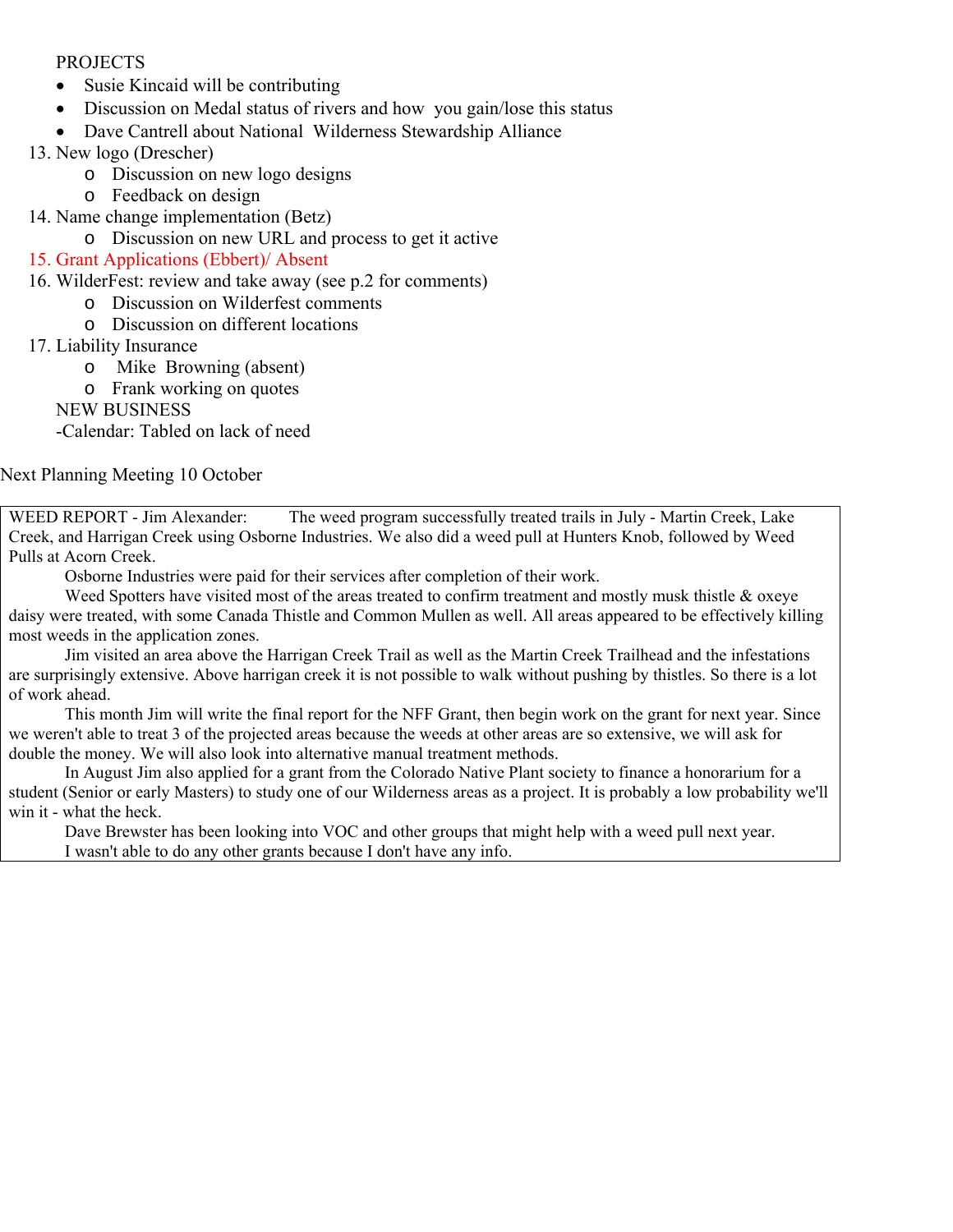#### PROJECTS

- Susie Kincaid will be contributing
- Discussion on Medal status of rivers and how you gain/lose this status
- Dave Cantrell about National Wilderness Stewardship Alliance
- 13. New logo (Drescher)
	- o Discussion on new logo designs
	- o Feedback on design
- 14. Name change implementation (Betz)
	- o Discussion on new URL and process to get it active

### 15. Grant Applications (Ebbert)/ Absent

#### 16. WilderFest: review and take away (see p.2 for comments)

- o Discussion on Wilderfest comments
	- o Discussion on different locations

#### 17. Liability Insurance

- o Mike Browning (absent)
- o Frank working on quotes

NEW BUSINESS

-Calendar: Tabled on lack of need

#### Next Planning Meeting 10 October

WEED REPORT - Jim Alexander: The weed program successfully treated trails in July - Martin Creek, Lake Creek, and Harrigan Creek using Osborne Industries. We also did a weed pull at Hunters Knob, followed by Weed Pulls at Acorn Creek.

Osborne Industries were paid for their services after completion of their work.

 Weed Spotters have visited most of the areas treated to confirm treatment and mostly musk thistle & oxeye daisy were treated, with some Canada Thistle and Common Mullen as well. All areas appeared to be effectively killing most weeds in the application zones.

 Jim visited an area above the Harrigan Creek Trail as well as the Martin Creek Trailhead and the infestations are surprisingly extensive. Above harrigan creek it is not possible to walk without pushing by thistles. So there is a lot of work ahead.

 This month Jim will write the final report for the NFF Grant, then begin work on the grant for next year. Since we weren't able to treat 3 of the projected areas because the weeds at other areas are so extensive, we will ask for double the money. We will also look into alternative manual treatment methods.

 In August Jim also applied for a grant from the Colorado Native Plant society to finance a honorarium for a student (Senior or early Masters) to study one of our Wilderness areas as a project. It is probably a low probability we'll win it - what the heck.

 Dave Brewster has been looking into VOC and other groups that might help with a weed pull next year. I wasn't able to do any other grants because I don't have any info.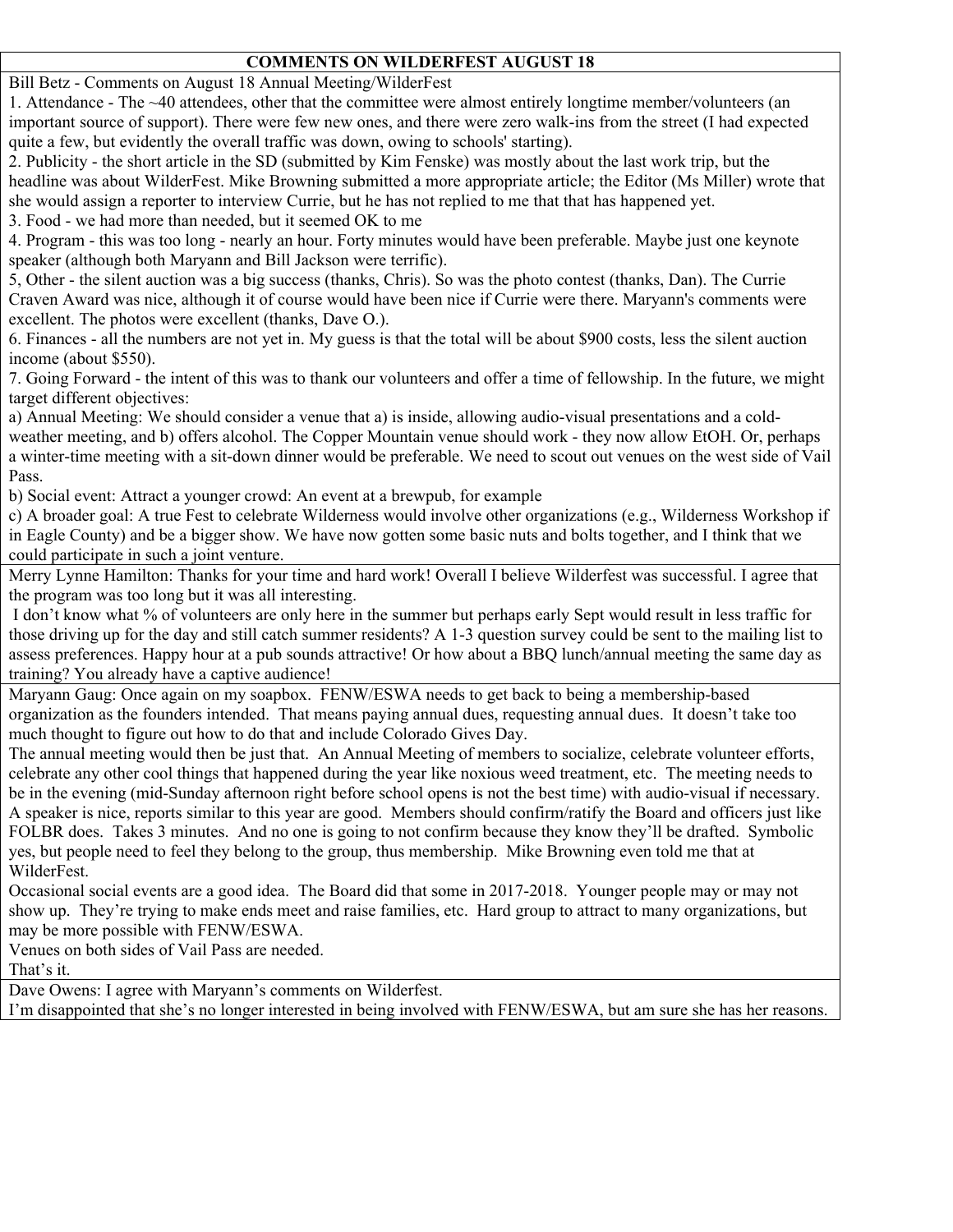### **COMMENTS ON WILDERFEST AUGUST 18**

Bill Betz - Comments on August 18 Annual Meeting/WilderFest

1. Attendance - The ~40 attendees, other that the committee were almost entirely longtime member/volunteers (an important source of support). There were few new ones, and there were zero walk-ins from the street (I had expected quite a few, but evidently the overall traffic was down, owing to schools' starting).

2. Publicity - the short article in the SD (submitted by Kim Fenske) was mostly about the last work trip, but the headline was about WilderFest. Mike Browning submitted a more appropriate article; the Editor (Ms Miller) wrote that she would assign a reporter to interview Currie, but he has not replied to me that that has happened yet.

3. Food - we had more than needed, but it seemed OK to me

4. Program - this was too long - nearly an hour. Forty minutes would have been preferable. Maybe just one keynote speaker (although both Maryann and Bill Jackson were terrific).

5, Other - the silent auction was a big success (thanks, Chris). So was the photo contest (thanks, Dan). The Currie Craven Award was nice, although it of course would have been nice if Currie were there. Maryann's comments were excellent. The photos were excellent (thanks, Dave O.).

6. Finances - all the numbers are not yet in. My guess is that the total will be about \$900 costs, less the silent auction income (about \$550).

7. Going Forward - the intent of this was to thank our volunteers and offer a time of fellowship. In the future, we might target different objectives:

a) Annual Meeting: We should consider a venue that a) is inside, allowing audio-visual presentations and a coldweather meeting, and b) offers alcohol. The Copper Mountain venue should work - they now allow EtOH. Or, perhaps a winter-time meeting with a sit-down dinner would be preferable. We need to scout out venues on the west side of Vail Pass.

b) Social event: Attract a younger crowd: An event at a brewpub, for example

c) A broader goal: A true Fest to celebrate Wilderness would involve other organizations (e.g., Wilderness Workshop if in Eagle County) and be a bigger show. We have now gotten some basic nuts and bolts together, and I think that we could participate in such a joint venture.

Merry Lynne Hamilton: Thanks for your time and hard work! Overall I believe Wilderfest was successful. I agree that the program was too long but it was all interesting.

 I don't know what % of volunteers are only here in the summer but perhaps early Sept would result in less traffic for those driving up for the day and still catch summer residents? A 1-3 question survey could be sent to the mailing list to assess preferences. Happy hour at a pub sounds attractive! Or how about a BBQ lunch/annual meeting the same day as training? You already have a captive audience!

Maryann Gaug: Once again on my soapbox. FENW/ESWA needs to get back to being a membership-based organization as the founders intended. That means paying annual dues, requesting annual dues. It doesn't take too much thought to figure out how to do that and include Colorado Gives Day.

The annual meeting would then be just that. An Annual Meeting of members to socialize, celebrate volunteer efforts, celebrate any other cool things that happened during the year like noxious weed treatment, etc. The meeting needs to be in the evening (mid-Sunday afternoon right before school opens is not the best time) with audio-visual if necessary. A speaker is nice, reports similar to this year are good. Members should confirm/ratify the Board and officers just like FOLBR does. Takes 3 minutes. And no one is going to not confirm because they know they'll be drafted. Symbolic yes, but people need to feel they belong to the group, thus membership. Mike Browning even told me that at WilderFest.

Occasional social events are a good idea. The Board did that some in 2017-2018. Younger people may or may not show up. They're trying to make ends meet and raise families, etc. Hard group to attract to many organizations, but may be more possible with FENW/ESWA.

Venues on both sides of Vail Pass are needed.

That's it.

Dave Owens: I agree with Maryann's comments on Wilderfest.

I'm disappointed that she's no longer interested in being involved with FENW/ESWA, but am sure she has her reasons.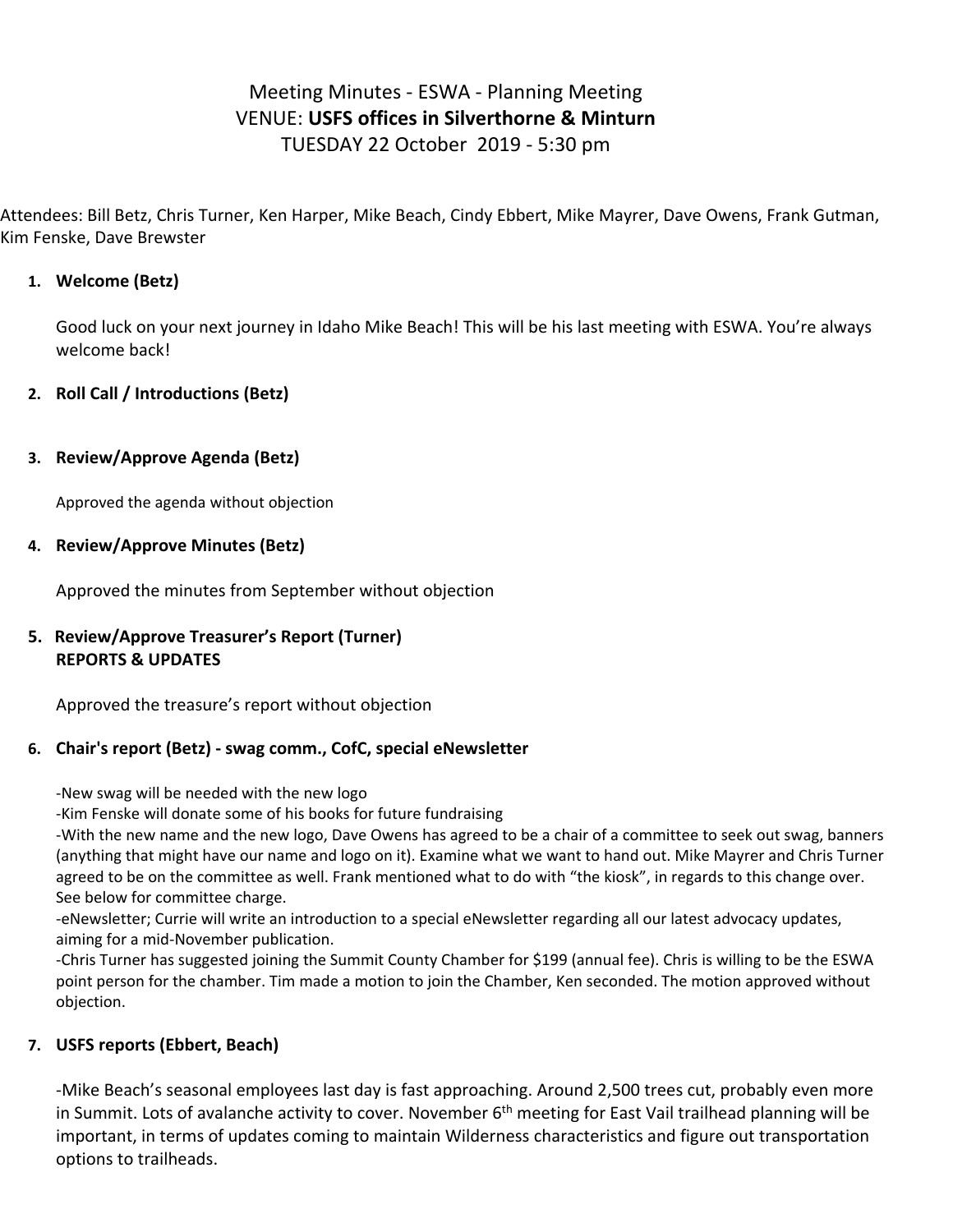# Meeting Minutes ‐ ESWA ‐ Planning Meeting VENUE: **USFS offices in Silverthorne & Minturn** TUESDAY 22 October 2019 ‐ 5:30 pm

Attendees: Bill Betz, Chris Turner, Ken Harper, Mike Beach, Cindy Ebbert, Mike Mayrer, Dave Owens, Frank Gutman, Kim Fenske, Dave Brewster

### **1. Welcome (Betz)**

Good luck on your next journey in Idaho Mike Beach! This will be his last meeting with ESWA. You're always welcome back!

### **2. Roll Call / Introductions (Betz)**

### **3. Review/Approve Agenda (Betz)**

Approved the agenda without objection

#### **4. Review/Approve Minutes (Betz)**

Approved the minutes from September without objection

### **5. Review/Approve Treasurer's Report (Turner) REPORTS & UPDATES**

Approved the treasure's report without objection

#### **6. Chair's report (Betz) ‐ swag comm., CofC, special eNewsletter**

‐New swag will be needed with the new logo

‐Kim Fenske will donate some of his books for future fundraising

‐With the new name and the new logo, Dave Owens has agreed to be a chair of a committee to seek out swag, banners (anything that might have our name and logo on it). Examine what we want to hand out. Mike Mayrer and Chris Turner agreed to be on the committee as well. Frank mentioned what to do with "the kiosk", in regards to this change over. See below for committee charge.

‐eNewsletter; Currie will write an introduction to a special eNewsletter regarding all our latest advocacy updates, aiming for a mid‐November publication.

‐Chris Turner has suggested joining the Summit County Chamber for \$199 (annual fee). Chris is willing to be the ESWA point person for the chamber. Tim made a motion to join the Chamber, Ken seconded. The motion approved without objection.

#### **7. USFS reports (Ebbert, Beach)**

‐Mike Beach's seasonal employees last day is fast approaching. Around 2,500 trees cut, probably even more in Summit. Lots of avalanche activity to cover. November 6<sup>th</sup> meeting for East Vail trailhead planning will be important, in terms of updates coming to maintain Wilderness characteristics and figure out transportation options to trailheads.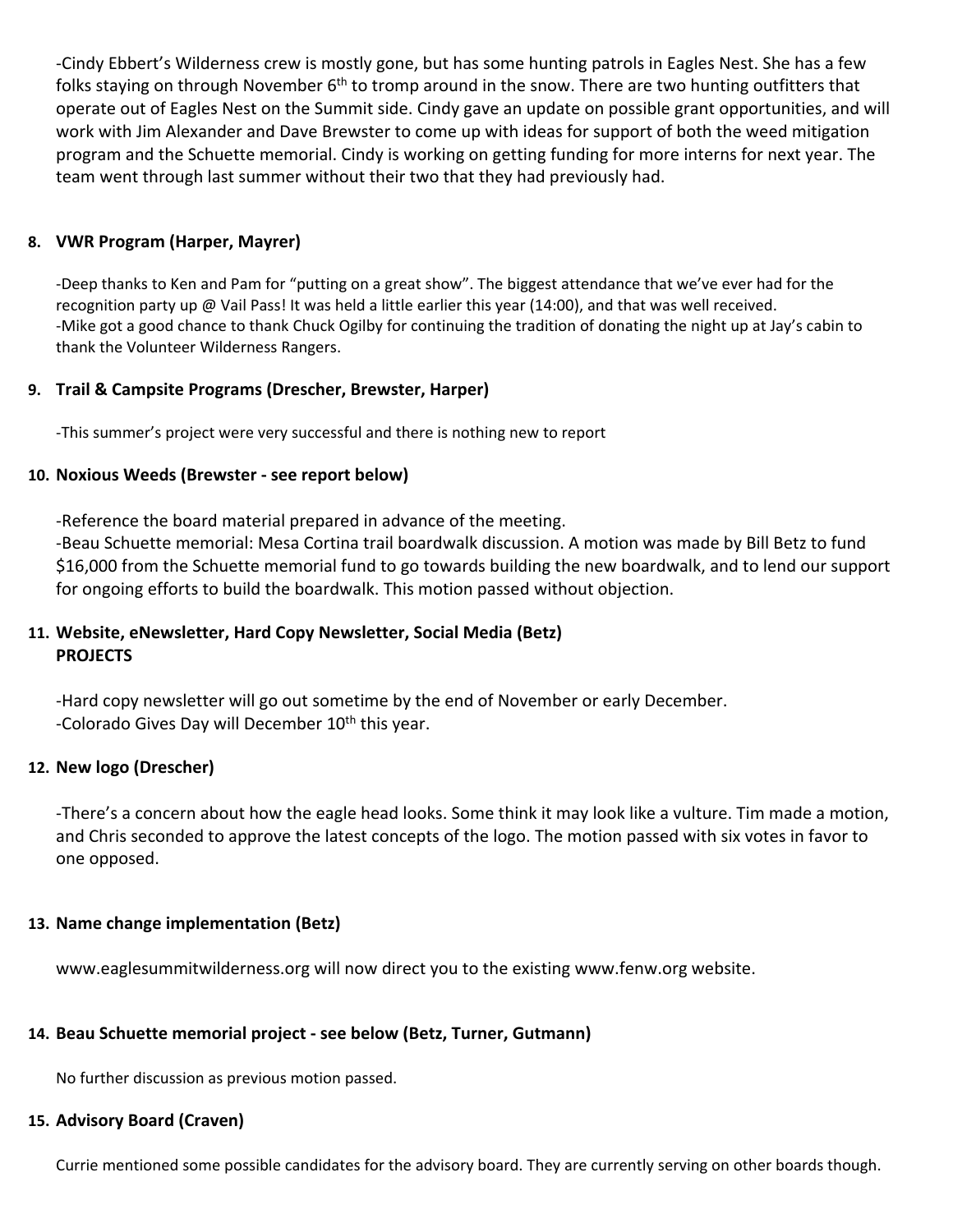‐Cindy Ebbert's Wilderness crew is mostly gone, but has some hunting patrols in Eagles Nest. She has a few folks staying on through November 6<sup>th</sup> to tromp around in the snow. There are two hunting outfitters that operate out of Eagles Nest on the Summit side. Cindy gave an update on possible grant opportunities, and will work with Jim Alexander and Dave Brewster to come up with ideas for support of both the weed mitigation program and the Schuette memorial. Cindy is working on getting funding for more interns for next year. The team went through last summer without their two that they had previously had.

### **8. VWR Program (Harper, Mayrer)**

‐Deep thanks to Ken and Pam for "putting on a great show". The biggest attendance that we've ever had for the recognition party up @ Vail Pass! It was held a little earlier this year (14:00), and that was well received. ‐Mike got a good chance to thank Chuck Ogilby for continuing the tradition of donating the night up at Jay's cabin to thank the Volunteer Wilderness Rangers.

### **9. Trail & Campsite Programs (Drescher, Brewster, Harper)**

‐This summer's project were very successful and there is nothing new to report

#### **10. Noxious Weeds (Brewster ‐ see report below)**

‐Reference the board material prepared in advance of the meeting.

‐Beau Schuette memorial: Mesa Cortina trail boardwalk discussion. A motion was made by Bill Betz to fund \$16,000 from the Schuette memorial fund to go towards building the new boardwalk, and to lend our support for ongoing efforts to build the boardwalk. This motion passed without objection.

### **11. Website, eNewsletter, Hard Copy Newsletter, Social Media (Betz) PROJECTS**

‐Hard copy newsletter will go out sometime by the end of November or early December. -Colorado Gives Day will December  $10<sup>th</sup>$  this year.

#### **12. New logo (Drescher)**

‐There's a concern about how the eagle head looks. Some think it may look like a vulture. Tim made a motion, and Chris seconded to approve the latest concepts of the logo. The motion passed with six votes in favor to one opposed.

#### **13. Name change implementation (Betz)**

www.eaglesummitwilderness.org will now direct you to the existing www.fenw.org website.

#### **14. Beau Schuette memorial project ‐ see below (Betz, Turner, Gutmann)**

No further discussion as previous motion passed.

#### **15. Advisory Board (Craven)**

Currie mentioned some possible candidates for the advisory board. They are currently serving on other boards though.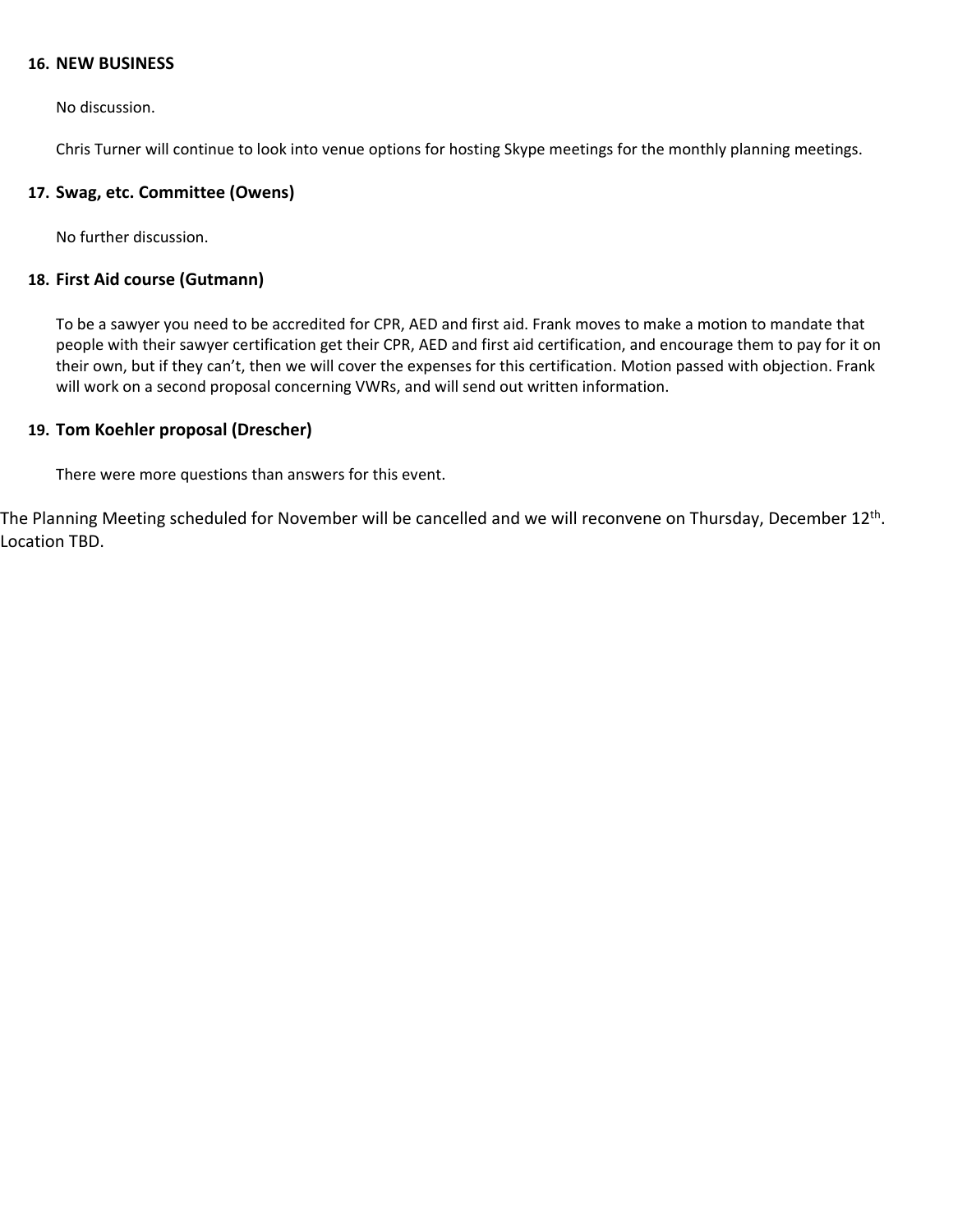#### **16. NEW BUSINESS**

No discussion.

Chris Turner will continue to look into venue options for hosting Skype meetings for the monthly planning meetings.

#### **17. Swag, etc. Committee (Owens)**

No further discussion.

#### **18. First Aid course (Gutmann)**

To be a sawyer you need to be accredited for CPR, AED and first aid. Frank moves to make a motion to mandate that people with their sawyer certification get their CPR, AED and first aid certification, and encourage them to pay for it on their own, but if they can't, then we will cover the expenses for this certification. Motion passed with objection. Frank will work on a second proposal concerning VWRs, and will send out written information.

#### **19. Tom Koehler proposal (Drescher)**

There were more questions than answers for this event.

The Planning Meeting scheduled for November will be cancelled and we will reconvene on Thursday, December 12<sup>th</sup>. Location TBD.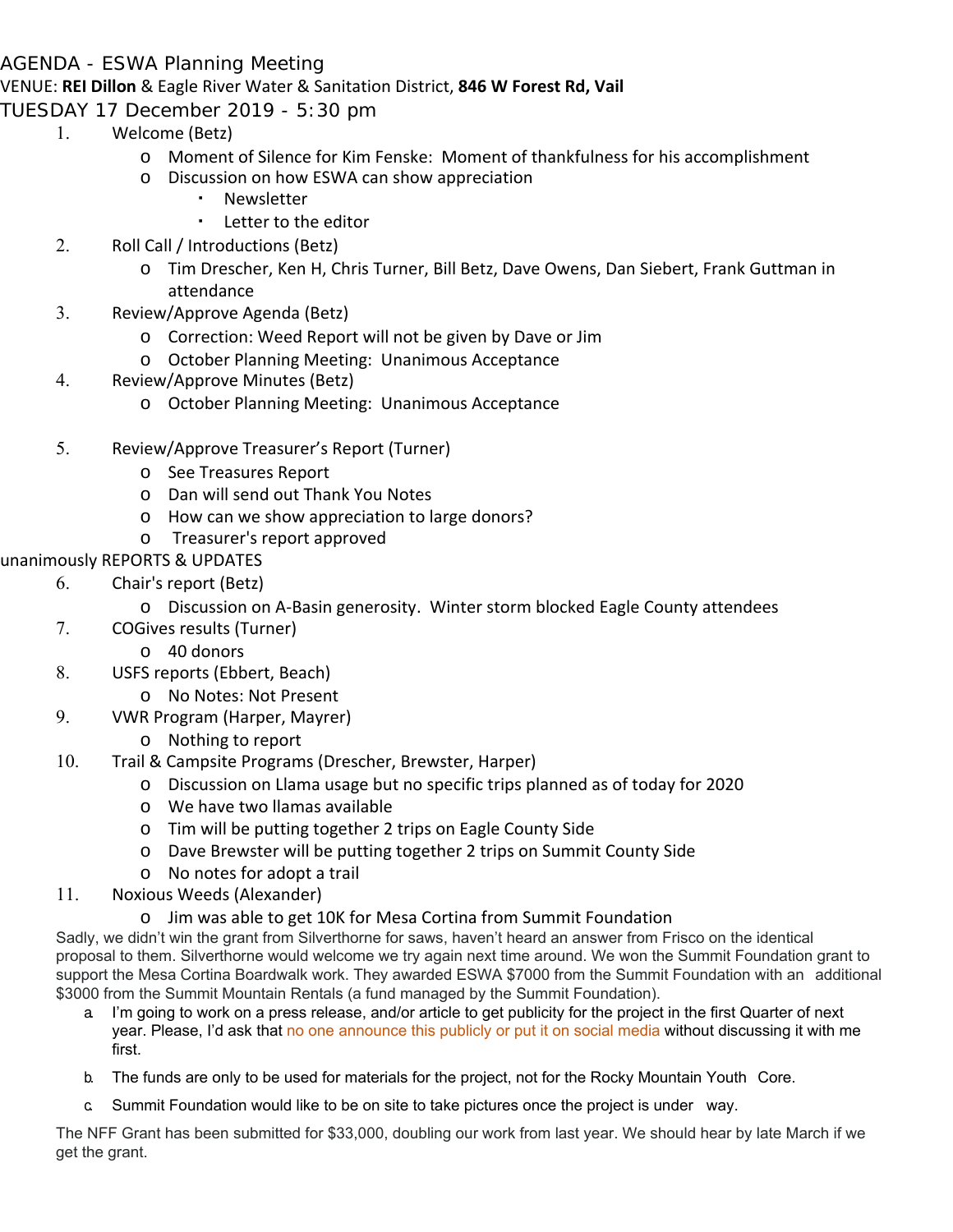## AGENDA - ESWA Planning Meeting

### VENUE: **REI Dillon** & Eagle River Water & Sanitation District, **846 W Forest Rd, Vail**

TUESDAY 17 December 2019 - 5:30 pm

- 1. Welcome (Betz)
	- o Moment of Silence for Kim Fenske: Moment of thankfulness for his accomplishment
	- o Discussion on how ESWA can show appreciation
		- **Newsletter** 
			- Letter to the editor
	- 2. Roll Call / Introductions (Betz)
		- o Tim Drescher, Ken H, Chris Turner, Bill Betz, Dave Owens, Dan Siebert, Frank Guttman in attendance
- 3. Review/Approve Agenda (Betz)
	- o Correction: Weed Report will not be given by Dave or Jim
	- o October Planning Meeting: Unanimous Acceptance
- 4. Review/Approve Minutes (Betz)
	- o October Planning Meeting: Unanimous Acceptance
- 5. Review/Approve Treasurer's Report (Turner)
	- o See Treasures Report
	- o Dan will send out Thank You Notes
	- o How can we show appreciation to large donors?
	- o Treasurer's report approved

### unanimously REPORTS & UPDATES

- 6. Chair's report (Betz)
	- o Discussion on A‐Basin generosity. Winter storm blocked Eagle County attendees
- 7. COGives results (Turner)
	- o 40 donors
- 8. USFS reports (Ebbert, Beach)
	- o No Notes: Not Present
- 9. VWR Program (Harper, Mayrer)
	- o Nothing to report
- 10. Trail & Campsite Programs (Drescher, Brewster, Harper)
	- o Discussion on Llama usage but no specific trips planned as of today for 2020
	- o We have two llamas available
	- o Tim will be putting together 2 trips on Eagle County Side
	- o Dave Brewster will be putting together 2 trips on Summit County Side
	- o No notes for adopt a trail
- 11. Noxious Weeds (Alexander)
	- o Jim was able to get 10K for Mesa Cortina from Summit Foundation

Sadly, we didn't win the grant from Silverthorne for saws, haven't heard an answer from Frisco on the identical proposal to them. Silverthorne would welcome we try again next time around. We won the Summit Foundation grant to support the Mesa Cortina Boardwalk work. They awarded ESWA \$7000 from the Summit Foundation with an additional \$3000 from the Summit Mountain Rentals (a fund managed by the Summit Foundation).

- a. I'm going to work on a press release, and/or article to get publicity for the project in the first Quarter of next year. Please, I'd ask that no one announce this publicly or put it on social media without discussing it with me first.
- b. The funds are only to be used for materials for the project, not for the Rocky Mountain Youth Core.
- c. Summit Foundation would like to be on site to take pictures once the project is under way.

The NFF Grant has been submitted for \$33,000, doubling our work from last year. We should hear by late March if we get the grant.